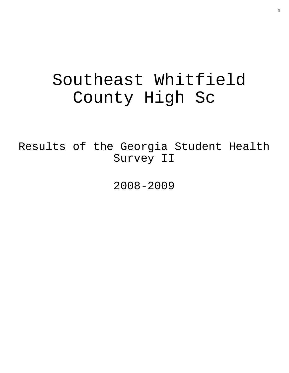# Southeast Whitfield County High Sc

Results of the Georgia Student Health Survey II

2008-2009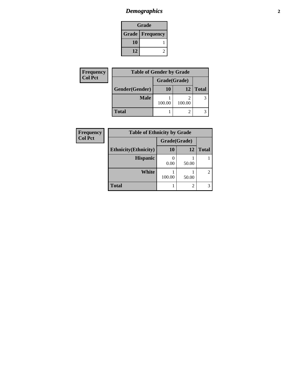# *Demographics* **2**

| Grade                    |  |  |
|--------------------------|--|--|
| <b>Grade   Frequency</b> |  |  |
| 10                       |  |  |
| 12                       |  |  |

| Frequency      | <b>Table of Gender by Grade</b> |              |        |              |  |
|----------------|---------------------------------|--------------|--------|--------------|--|
| <b>Col Pct</b> |                                 | Grade(Grade) |        |              |  |
|                | Gender(Gender)                  | 10           | 12     | <b>Total</b> |  |
|                | <b>Male</b>                     |              |        | 3            |  |
|                |                                 | 100.00       | 100.00 |              |  |
|                | <b>Total</b>                    |              |        |              |  |

| Frequency      | <b>Table of Ethnicity by Grade</b> |              |                |                |
|----------------|------------------------------------|--------------|----------------|----------------|
| <b>Col Pct</b> |                                    | Grade(Grade) |                |                |
|                | <b>Ethnicity</b> (Ethnicity)       | <b>10</b>    | 12             | <b>Total</b>   |
|                | <b>Hispanic</b>                    | 0.00         | 50.00          |                |
|                | White                              | 100.00       | 50.00          | $\overline{c}$ |
|                | <b>Total</b>                       |              | $\mathfrak{D}$ | 3              |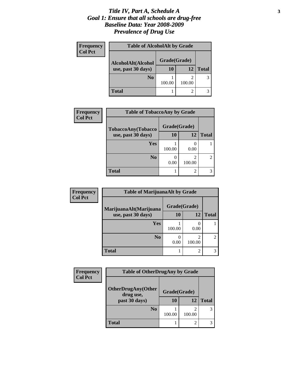#### *Title IV, Part A, Schedule A* **3** *Goal 1: Ensure that all schools are drug-free Baseline Data: Year 2008-2009 Prevalence of Drug Use*

| <b>Frequency</b> | <b>Table of AlcoholAlt by Grade</b> |              |             |              |
|------------------|-------------------------------------|--------------|-------------|--------------|
| <b>Col Pct</b>   | AlcoholAlt(Alcohol                  | Grade(Grade) |             |              |
|                  | use, past 30 days)                  | 10           | 12          | <b>Total</b> |
|                  | N <sub>0</sub>                      | 100.00       | ി<br>100.00 |              |
|                  | <b>Total</b>                        |              | ി           |              |

| <b>Frequency</b> | <b>Table of TobaccoAny by Grade</b> |              |             |              |
|------------------|-------------------------------------|--------------|-------------|--------------|
| <b>Col Pct</b>   | TobaccoAny(Tobacco                  | Grade(Grade) |             |              |
|                  | use, past 30 days)                  | <b>10</b>    | 12          | <b>Total</b> |
|                  | Yes                                 | 100.00       | 0.00        |              |
|                  | N <sub>0</sub>                      | 0.00         | 2<br>100.00 |              |
|                  | <b>Total</b>                        |              | 2           |              |

| Frequency      | <b>Table of MarijuanaAlt by Grade</b> |              |        |                |
|----------------|---------------------------------------|--------------|--------|----------------|
| <b>Col Pct</b> | MarijuanaAlt(Marijuana                | Grade(Grade) |        |                |
|                | use, past 30 days)                    | 10           | 12     | <b>Total</b>   |
|                | <b>Yes</b>                            | 100.00       | 0.00   |                |
|                | N <sub>0</sub>                        | 0.00         | 100.00 | $\mathfrak{D}$ |
|                | <b>Total</b>                          |              | 2      |                |

| <b>Frequency</b> | <b>Table of OtherDrugAny by Grade</b>                   |              |             |              |
|------------------|---------------------------------------------------------|--------------|-------------|--------------|
| <b>Col Pct</b>   |                                                         |              |             |              |
|                  | <b>OtherDrugAny(Other</b><br>drug use,<br>past 30 days) | Grade(Grade) |             |              |
|                  |                                                         | 10           | 12          | <b>Total</b> |
|                  | N <sub>0</sub>                                          | 100.00       | ി<br>100.00 |              |
|                  | Total                                                   |              | 2           |              |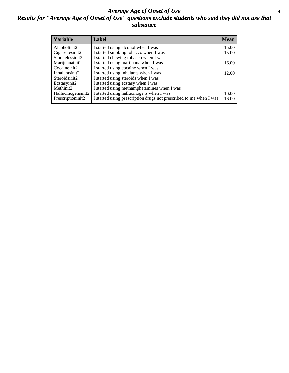#### *Average Age of Onset of Use* **4** *Results for "Average Age of Onset of Use" questions exclude students who said they did not use that substance*

| <b>Variable</b>    | Label                                                              | <b>Mean</b> |
|--------------------|--------------------------------------------------------------------|-------------|
| Alcoholinit2       | I started using alcohol when I was                                 | 15.00       |
| Cigarettesinit2    | I started smoking tobacco when I was                               | 15.00       |
| Smokelessinit2     | I started chewing tobacco when I was                               |             |
| Marijuanainit2     | I started using marijuana when I was                               | 16.00       |
| Cocaineinit2       | I started using cocaine when I was                                 |             |
| Inhalantsinit2     | I started using inhalants when I was                               | 12.00       |
| Steroidsinit2      | I started using steroids when I was                                |             |
| Ecstasyinit2       | I started using ecstasy when I was                                 |             |
| Methinit2          | I started using methamphetamines when I was                        |             |
| Hallucinogensinit2 | I started using hallucinogens when I was                           | 16.00       |
| Prescriptioninit2  | I started using prescription drugs not prescribed to me when I was | 16.00       |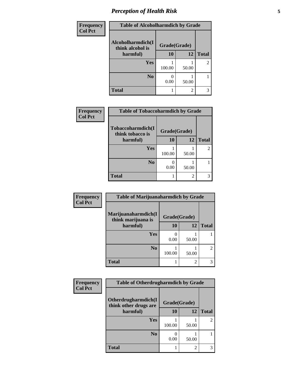# *Perception of Health Risk* **5**

| Frequency      | <b>Table of Alcoholharmdich by Grade</b> |              |       |                |
|----------------|------------------------------------------|--------------|-------|----------------|
| <b>Col Pct</b> | Alcoholharmdich(I<br>think alcohol is    | Grade(Grade) |       |                |
|                | harmful)                                 | 10           | 12    | <b>Total</b>   |
|                | Yes                                      | 100.00       | 50.00 | $\overline{c}$ |
|                | N <sub>0</sub>                           | 0.00         | 50.00 |                |
|                | <b>Total</b>                             |              | 2     | 3              |

| Frequency      | <b>Table of Tobaccoharmdich by Grade</b> |              |       |              |
|----------------|------------------------------------------|--------------|-------|--------------|
| <b>Col Pct</b> | Tobaccoharmdich(I<br>think tobacco is    | Grade(Grade) |       |              |
|                | harmful)                                 | 10           | 12    | <b>Total</b> |
|                | <b>Yes</b>                               | 100.00       | 50.00 |              |
|                | N <sub>0</sub>                           | 0.00         | 50.00 |              |
|                | <b>Total</b>                             |              | 2     |              |

| Frequency      | Table of Marijuanaharmdich by Grade       |              |       |                |  |
|----------------|-------------------------------------------|--------------|-------|----------------|--|
| <b>Col Pct</b> | Marijuanaharmdich(I<br>think marijuana is | Grade(Grade) |       |                |  |
|                | harmful)                                  | 10           | 12    | <b>Total</b>   |  |
|                | Yes                                       | 0.00         | 50.00 |                |  |
|                | N <sub>0</sub>                            | 100.00       | 50.00 | $\overline{2}$ |  |
|                | <b>Total</b>                              |              | 2     | 3              |  |

| Frequency      | <b>Table of Otherdrugharmdich by Grade</b>   |              |       |                |  |
|----------------|----------------------------------------------|--------------|-------|----------------|--|
| <b>Col Pct</b> | Otherdrugharmdich(I<br>think other drugs are | Grade(Grade) |       |                |  |
|                | harmful)                                     | 10           | 12    | <b>Total</b>   |  |
|                | <b>Yes</b>                                   | 100.00       | 50.00 | $\overline{2}$ |  |
|                | N <sub>0</sub>                               | 0.00         | 50.00 |                |  |
|                | <b>Total</b>                                 |              | 2     | 3              |  |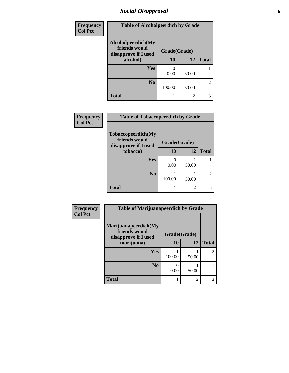## *Social Disapproval* **6**

| Frequency      | <b>Table of Alcoholpeerdich by Grade</b>                                |              |                |                |
|----------------|-------------------------------------------------------------------------|--------------|----------------|----------------|
| <b>Col Pct</b> | Alcoholpeerdich(My<br>friends would<br>disapprove if I used<br>alcohol) | Grade(Grade) |                |                |
|                |                                                                         | 10           | 12             | <b>Total</b>   |
|                | <b>Yes</b>                                                              | ∩<br>0.00    | 50.00          |                |
|                | N <sub>0</sub>                                                          | 100.00       | 50.00          | $\mathfrak{D}$ |
|                | <b>Total</b>                                                            |              | $\overline{c}$ | 3              |

| <b>Frequency</b> |
|------------------|
| <b>Col Pct</b>   |

| <b>Table of Tobaccopeerdich by Grade</b>                            |              |       |              |  |  |
|---------------------------------------------------------------------|--------------|-------|--------------|--|--|
| <b>Tobaccopeerdich</b> (My<br>friends would<br>disapprove if I used | Grade(Grade) |       |              |  |  |
| tobacco)                                                            | 10           | 12    | <b>Total</b> |  |  |
| Yes                                                                 | 0<br>0.00    | 50.00 |              |  |  |
| N <sub>0</sub>                                                      | 100.00       | 50.00 | 2            |  |  |
| <b>Total</b>                                                        |              | 2     |              |  |  |

| Frequency      | <b>Table of Marijuanapeerdich by Grade</b>                    |              |                |                |  |
|----------------|---------------------------------------------------------------|--------------|----------------|----------------|--|
| <b>Col Pct</b> | Marijuanapeerdich(My<br>friends would<br>disapprove if I used | Grade(Grade) |                |                |  |
|                | marijuana)                                                    | 10           | 12             | <b>Total</b>   |  |
|                | <b>Yes</b>                                                    | 100.00       | 50.00          | $\mathfrak{D}$ |  |
|                | N <sub>0</sub>                                                | 0.00         | 50.00          |                |  |
|                | <b>Total</b>                                                  |              | $\overline{c}$ | 3              |  |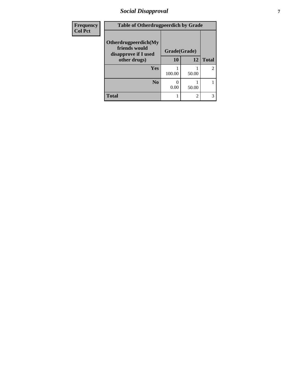## *Social Disapproval* **7**

| <b>Frequency</b> | <b>Table of Otherdrugpeerdich by Grade</b>                    |              |                |                |  |
|------------------|---------------------------------------------------------------|--------------|----------------|----------------|--|
| <b>Col Pct</b>   | Otherdrugpeerdich(My<br>friends would<br>disapprove if I used | Grade(Grade) |                |                |  |
|                  | other drugs)                                                  | 10           | 12             | <b>Total</b>   |  |
|                  | Yes                                                           | 100.00       | 50.00          | $\overline{2}$ |  |
|                  | N <sub>0</sub>                                                | 0.00         | 50.00          |                |  |
|                  | <b>Total</b>                                                  |              | $\overline{c}$ | 3              |  |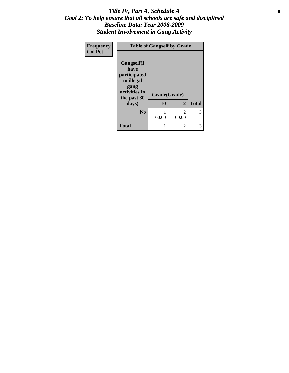#### Title IV, Part A, Schedule A **8** *Goal 2: To help ensure that all schools are safe and disciplined Baseline Data: Year 2008-2009 Student Involvement in Gang Activity*

| Frequency      | <b>Table of Gangself by Grade</b>                                                        |              |                          |              |
|----------------|------------------------------------------------------------------------------------------|--------------|--------------------------|--------------|
| <b>Col Pct</b> | Gangself(I<br>have<br>participated<br>in illegal<br>gang<br>activities in<br>the past 30 | Grade(Grade) |                          |              |
|                | days)                                                                                    | 10           | 12                       | <b>Total</b> |
|                | N <sub>0</sub>                                                                           | 100.00       | $\overline{c}$<br>100.00 | 3            |
|                | <b>Total</b>                                                                             | 1            | 2                        |              |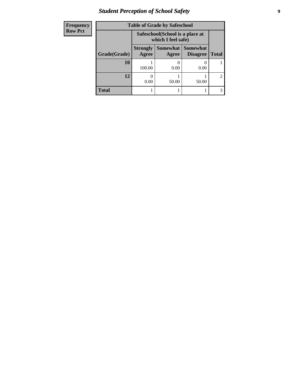## *Student Perception of School Safety* **9**

| <b>Frequency</b><br>Row Pct |
|-----------------------------|
|                             |

| cy |              | <b>Table of Grade by Safeschool</b> |                                                        |                                        |              |  |
|----|--------------|-------------------------------------|--------------------------------------------------------|----------------------------------------|--------------|--|
|    |              |                                     | Safeschool (School is a place at<br>which I feel safe) |                                        |              |  |
|    | Grade(Grade) | <b>Strongly</b><br>Agree            | Agree                                                  | Somewhat   Somewhat<br><b>Disagree</b> | <b>Total</b> |  |
|    | 10           | 100.00                              | 0.00                                                   | 0.00                                   |              |  |
|    | 12           | 0.00                                | 50.00                                                  | 50.00                                  |              |  |
|    | <b>Total</b> |                                     |                                                        |                                        |              |  |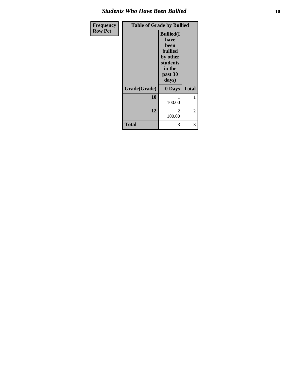#### *Students Who Have Been Bullied* **10**

| Frequency      | <b>Table of Grade by Bullied</b> |                                                                                                           |              |  |  |
|----------------|----------------------------------|-----------------------------------------------------------------------------------------------------------|--------------|--|--|
| <b>Row Pct</b> |                                  | <b>Bullied(I)</b><br>have<br>been<br><b>bullied</b><br>by other<br>students<br>in the<br>past 30<br>days) |              |  |  |
|                | Grade(Grade)                     | 0 Days                                                                                                    | <b>Total</b> |  |  |
|                | 10                               | 100.00                                                                                                    | 1            |  |  |
|                | 12                               | $\mathfrak{D}$<br>100.00                                                                                  | 2            |  |  |
|                | <b>Total</b>                     | 3                                                                                                         | 3            |  |  |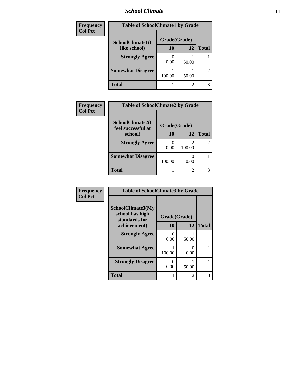#### *School Climate* **11**

| Frequency      | <b>Table of SchoolClimate1 by Grade</b> |              |       |                |  |
|----------------|-----------------------------------------|--------------|-------|----------------|--|
| <b>Col Pct</b> | SchoolClimate1(I                        | Grade(Grade) |       |                |  |
|                | like school)                            | 10           | 12    | <b>Total</b>   |  |
|                | <b>Strongly Agree</b>                   | 0.00         | 50.00 |                |  |
|                | <b>Somewhat Disagree</b>                | 100.00       | 50.00 | $\overline{c}$ |  |
|                | Total                                   |              |       | 3              |  |

| Frequency      | <b>Table of SchoolClimate2 by Grade</b>                |        |        |                |
|----------------|--------------------------------------------------------|--------|--------|----------------|
| <b>Col Pct</b> | SchoolClimate2(I<br>Grade(Grade)<br>feel successful at |        |        |                |
|                | school)                                                | 10     | 12     | <b>Total</b>   |
|                | <b>Strongly Agree</b>                                  | 0.00   | 100.00 | $\overline{2}$ |
|                | <b>Somewhat Disagree</b>                               | 100.00 | 0.00   |                |
|                | <b>Total</b>                                           |        | 2      | 3              |

| Frequency      | <b>Table of SchoolClimate3 by Grade</b>                      |              |           |              |
|----------------|--------------------------------------------------------------|--------------|-----------|--------------|
| <b>Col Pct</b> | <b>SchoolClimate3(My</b><br>school has high<br>standards for | Grade(Grade) |           |              |
|                | achievement)                                                 | 10           | 12        | <b>Total</b> |
|                | <b>Strongly Agree</b>                                        | 0.00         | 50.00     |              |
|                | <b>Somewhat Agree</b>                                        | 100.00       | 0<br>0.00 |              |
|                | <b>Strongly Disagree</b>                                     | 0.00         | 50.00     |              |
|                | <b>Total</b>                                                 |              | 2         |              |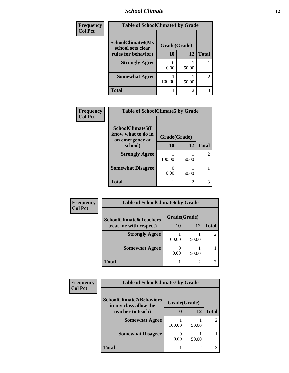## *School Climate* **12**

| Frequency      | <b>Table of SchoolClimate4 by Grade</b>       |              |       |                |
|----------------|-----------------------------------------------|--------------|-------|----------------|
| <b>Col Pct</b> | <b>SchoolClimate4(My</b><br>school sets clear | Grade(Grade) |       |                |
|                | rules for behavior)                           | <b>10</b>    | 12    | <b>Total</b>   |
|                | <b>Strongly Agree</b>                         | 0.00         | 50.00 |                |
|                | <b>Somewhat Agree</b>                         | 100.00       | 50.00 | $\overline{c}$ |
|                | Total                                         |              | 2     | 3              |

| Frequency      | <b>Table of SchoolClimate5 by Grade</b>                   |              |       |                |
|----------------|-----------------------------------------------------------|--------------|-------|----------------|
| <b>Col Pct</b> | SchoolClimate5(I<br>know what to do in<br>an emergency at | Grade(Grade) |       |                |
|                | school)                                                   | 10           | 12    | <b>Total</b>   |
|                | <b>Strongly Agree</b>                                     | 100.00       | 50.00 | $\mathfrak{D}$ |
|                | <b>Somewhat Disagree</b>                                  | 0.00         | 50.00 |                |
|                | <b>Total</b>                                              |              | 2     |                |

| Frequency      | <b>Table of SchoolClimate6 by Grade</b> |              |                |              |
|----------------|-----------------------------------------|--------------|----------------|--------------|
| <b>Col Pct</b> | <b>SchoolClimate6(Teachers</b>          | Grade(Grade) |                |              |
|                | treat me with respect)                  | 10           | 12             | <b>Total</b> |
|                | <b>Strongly Agree</b>                   | 100.00       | 50.00          |              |
|                | <b>Somewhat Agree</b>                   | 0.00         | 50.00          |              |
|                | <b>Total</b>                            |              | $\overline{c}$ |              |

| <b>Frequency</b> | <b>Table of SchoolClimate7 by Grade</b>                  |              |       |              |
|------------------|----------------------------------------------------------|--------------|-------|--------------|
| <b>Col Pct</b>   | <b>SchoolClimate7(Behaviors</b><br>in my class allow the | Grade(Grade) |       |              |
|                  | teacher to teach)                                        | 10           | 12    | <b>Total</b> |
|                  | <b>Somewhat Agree</b>                                    | 100.00       | 50.00 |              |
|                  | <b>Somewhat Disagree</b>                                 | 0.00         | 50.00 |              |
|                  | Total                                                    |              | റ     |              |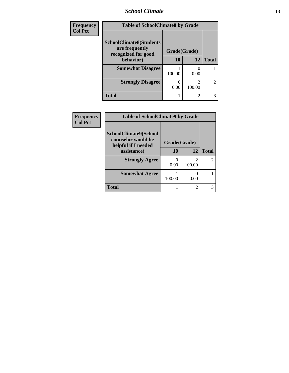#### *School Climate* **13**

| <b>Frequency</b> | <b>Table of SchoolClimate8 by Grade</b> |              |                         |                |
|------------------|-----------------------------------------|--------------|-------------------------|----------------|
| <b>Col Pct</b>   | <b>SchoolClimate8(Students</b>          |              |                         |                |
|                  | are frequently<br>recognized for good   | Grade(Grade) |                         |                |
|                  | behavior)                               | 10           | 12                      | <b>Total</b>   |
|                  | <b>Somewhat Disagree</b>                | 100.00       | 0.00                    |                |
|                  | <b>Strongly Disagree</b>                | 0<br>0.00    | $\mathcal{D}$<br>100.00 | $\overline{2}$ |
|                  | <b>Total</b>                            |              | $\overline{c}$          | 3              |

| <b>Frequency</b> | <b>Table of SchoolClimate9 by Grade</b>                            |              |                |               |
|------------------|--------------------------------------------------------------------|--------------|----------------|---------------|
| <b>Col Pct</b>   | SchoolClimate9(School<br>counselor would be<br>helpful if I needed | Grade(Grade) |                |               |
|                  | assistance)                                                        | 10           | 12             | <b>Total</b>  |
|                  | <b>Strongly Agree</b>                                              | 0.00         | っ<br>100.00    | $\mathcal{L}$ |
|                  | <b>Somewhat Agree</b>                                              | 100.00       | 0.00           |               |
|                  | Total                                                              |              | $\mathfrak{D}$ | 3             |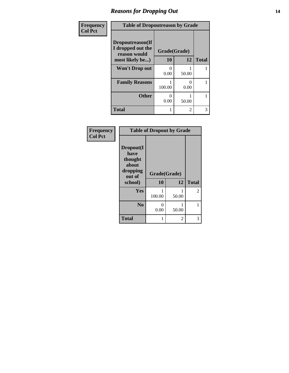#### *Reasons for Dropping Out* **14**

| Frequency      | <b>Table of Dropoutreason by Grade</b>                                   |                           |                |              |
|----------------|--------------------------------------------------------------------------|---------------------------|----------------|--------------|
| <b>Col Pct</b> | Dropoutreason(If<br>I dropped out the<br>reason would<br>most likely be) | Grade(Grade)<br>10        | 12             | <b>Total</b> |
|                | <b>Won't Drop out</b>                                                    | $\mathbf{\Omega}$<br>0.00 | 50.00          |              |
|                | <b>Family Reasons</b>                                                    | 100.00                    | 0.00           |              |
|                | <b>Other</b>                                                             | $\mathbf{\Omega}$<br>0.00 | 50.00          |              |
|                | <b>Total</b>                                                             |                           | $\mathfrak{D}$ | 3            |

| Frequency<br><b>Col Pct</b> | <b>Table of Dropout by Grade</b>                                       |                    |       |              |
|-----------------------------|------------------------------------------------------------------------|--------------------|-------|--------------|
|                             | Dropout(I<br>have<br>thought<br>about<br>dropping<br>out of<br>school) | Grade(Grade)<br>10 | 12    | <b>Total</b> |
|                             | Yes                                                                    |                    |       | 2            |
|                             |                                                                        | 100.00             | 50.00 |              |
|                             | N <sub>0</sub>                                                         | 0<br>0.00          | 50.00 |              |
|                             |                                                                        |                    |       |              |
|                             | <b>Total</b>                                                           | 1                  | 2     | 3            |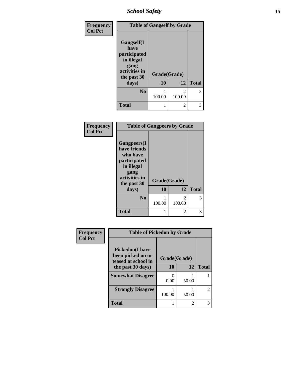## *School Safety* **15**

| Frequency      |                                                                                          | <b>Table of Gangself by Grade</b> |                |              |
|----------------|------------------------------------------------------------------------------------------|-----------------------------------|----------------|--------------|
| <b>Col Pct</b> | Gangself(I<br>have<br>participated<br>in illegal<br>gang<br>activities in<br>the past 30 | Grade(Grade)                      |                |              |
|                | days)                                                                                    | 10                                | 12             | <b>Total</b> |
|                | N <sub>0</sub>                                                                           | 100.00                            | 2<br>100.00    | 3            |
|                | <b>Total</b>                                                                             | 1                                 | $\overline{2}$ | 3            |

| Frequency      | <b>Table of Gangpeers by Grade</b>                                                                                    |              |             |              |
|----------------|-----------------------------------------------------------------------------------------------------------------------|--------------|-------------|--------------|
| <b>Col Pct</b> | <b>Gangpeers</b> (I<br>have friends<br>who have<br>participated<br>in illegal<br>gang<br>activities in<br>the past 30 | Grade(Grade) |             |              |
|                | days)                                                                                                                 | 10           | 12          | <b>Total</b> |
|                | N <sub>0</sub>                                                                                                        | 100.00       | 2<br>100.00 | 3            |
|                | <b>Total</b>                                                                                                          |              | 2           | 3            |

| Frequency      | <b>Table of Pickedon by Grade</b>            |                    |                |                |
|----------------|----------------------------------------------|--------------------|----------------|----------------|
| <b>Col Pct</b> | <b>Pickedon</b> (I have<br>been picked on or |                    |                |                |
|                | teased at school in<br>the past 30 days)     | Grade(Grade)<br>10 | 12             | <b>Total</b>   |
|                | <b>Somewhat Disagree</b>                     | 0.00               | 50.00          |                |
|                | <b>Strongly Disagree</b>                     | 100.00             | 50.00          | $\overline{c}$ |
|                | <b>Total</b>                                 |                    | $\mathfrak{D}$ | 3              |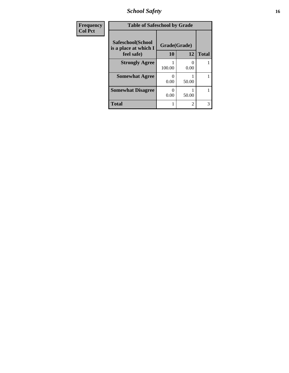*School Safety* **16**

| Frequency      | <b>Table of Safeschool by Grade</b>                      |                           |                |              |
|----------------|----------------------------------------------------------|---------------------------|----------------|--------------|
| <b>Col Pct</b> | Safeschool(School<br>is a place at which I<br>feel safe) | Grade(Grade)<br><b>10</b> | 12             | <b>Total</b> |
|                | <b>Strongly Agree</b>                                    | 100.00                    | 0<br>0.00      |              |
|                | <b>Somewhat Agree</b>                                    | 0.00                      | 50.00          |              |
|                | <b>Somewhat Disagree</b>                                 | 0.00                      | 50.00          |              |
|                | <b>Total</b>                                             |                           | $\overline{2}$ | 3            |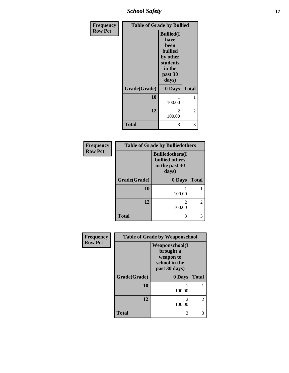*School Safety* **17**

| Frequency      | <b>Table of Grade by Bullied</b> |                                                                                                           |                |  |
|----------------|----------------------------------|-----------------------------------------------------------------------------------------------------------|----------------|--|
| <b>Row Pct</b> |                                  | <b>Bullied(I)</b><br>have<br>been<br><b>bullied</b><br>by other<br>students<br>in the<br>past 30<br>days) |                |  |
|                | Grade(Grade)                     | 0 Days                                                                                                    | <b>Total</b>   |  |
|                | 10                               | 1<br>100.00                                                                                               | 1              |  |
|                | 12                               | $\overline{c}$<br>100.00                                                                                  | $\overline{c}$ |  |
|                | <b>Total</b>                     | 3                                                                                                         | 3              |  |

| Frequency      | <b>Table of Grade by Bulliedothers</b> |                                                                             |                |  |
|----------------|----------------------------------------|-----------------------------------------------------------------------------|----------------|--|
| <b>Row Pct</b> |                                        | <b>Bulliedothers</b> (I<br><b>bullied</b> others<br>in the past 30<br>days) |                |  |
|                | Grade(Grade)                           | 0 Days                                                                      | <b>Total</b>   |  |
|                | 10                                     | 100.00                                                                      |                |  |
|                | 12                                     | 100.00                                                                      | $\mathfrak{D}$ |  |
|                | <b>Total</b>                           | 3                                                                           |                |  |

| Frequency      | <b>Table of Grade by Weaponschool</b> |                                                                                    |               |
|----------------|---------------------------------------|------------------------------------------------------------------------------------|---------------|
| <b>Row Pct</b> |                                       | <b>Weaponschool</b> (I<br>brought a<br>weapon to<br>school in the<br>past 30 days) |               |
|                | Grade(Grade)                          | 0 Days                                                                             | <b>Total</b>  |
|                | 10                                    | 100.00                                                                             |               |
|                | 12                                    | 2<br>100.00                                                                        | $\mathcal{L}$ |
|                | Total                                 | 3                                                                                  | 3             |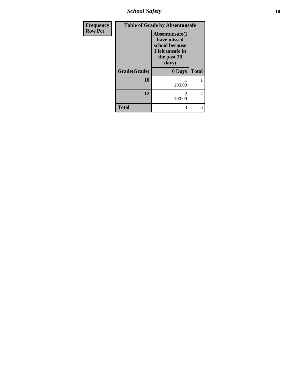*School Safety* **18**

| <b>Frequency</b> |              | <b>Table of Grade by Absentunsafe</b>                                                        |                |
|------------------|--------------|----------------------------------------------------------------------------------------------|----------------|
| <b>Row Pct</b>   |              | Absentunsafe(I)<br>have missed<br>school because<br>I felt unsafe in<br>the past 30<br>days) |                |
|                  | Grade(Grade) | 0 Days                                                                                       | <b>Total</b>   |
|                  | 10           | 100.00                                                                                       |                |
|                  | 12           | 100.00                                                                                       | $\overline{c}$ |
|                  | <b>Total</b> | 3                                                                                            | 3              |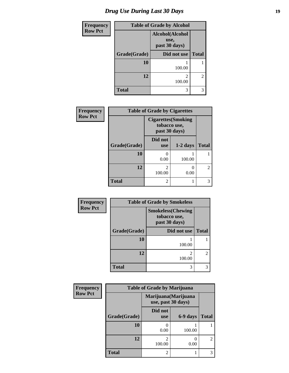# *Drug Use During Last 30 Days* **19**

| <b>Frequency</b> | <b>Table of Grade by Alcohol</b> |                                          |              |
|------------------|----------------------------------|------------------------------------------|--------------|
| <b>Row Pct</b>   |                                  | Alcohol(Alcohol<br>use,<br>past 30 days) |              |
|                  | Grade(Grade)                     | Did not use                              | <b>Total</b> |
|                  | 10                               | 100.00                                   |              |
|                  | 12                               | 2<br>100.00                              | 2            |
|                  | <b>Total</b>                     | 3                                        | 3            |

| Frequency      | <b>Table of Grade by Cigarettes</b> |                                                             |            |                             |
|----------------|-------------------------------------|-------------------------------------------------------------|------------|-----------------------------|
| <b>Row Pct</b> |                                     | <b>Cigarettes</b> (Smoking<br>tobacco use,<br>past 30 days) |            |                             |
|                | Grade(Grade)                        | Did not<br><b>use</b>                                       | $1-2$ days | <b>Total</b>                |
|                | 10                                  | 0<br>0.00                                                   | 100.00     |                             |
|                | 12                                  | $\mathcal{D}_{\mathcal{L}}$<br>100.00                       | 0.00       | $\mathcal{D}_{\mathcal{L}}$ |
|                | <b>Total</b>                        | 2                                                           |            |                             |

| Frequency      | <b>Table of Grade by Smokeless</b> |                                                           |                |
|----------------|------------------------------------|-----------------------------------------------------------|----------------|
| <b>Row Pct</b> |                                    | <b>Smokeless(Chewing</b><br>tobacco use,<br>past 30 days) |                |
|                | Grade(Grade)                       | Did not use                                               | <b>Total</b>   |
|                | 10                                 | 100.00                                                    |                |
|                | 12                                 | 100.00                                                    | $\overline{2}$ |
|                | <b>Total</b>                       | 3                                                         | 3              |

| <b>Frequency</b> | <b>Table of Grade by Marijuana</b> |                                            |          |                |
|------------------|------------------------------------|--------------------------------------------|----------|----------------|
| <b>Row Pct</b>   |                                    | Marijuana (Marijuana<br>use, past 30 days) |          |                |
|                  | Grade(Grade)                       | Did not<br><b>use</b>                      | 6-9 days | <b>Total</b>   |
|                  | 10                                 | 0.00                                       | 100.00   |                |
|                  | 12                                 | $\mathfrak{D}$<br>100.00                   | 0.00     | $\mathfrak{D}$ |
|                  | <b>Total</b>                       | 2                                          |          | 3              |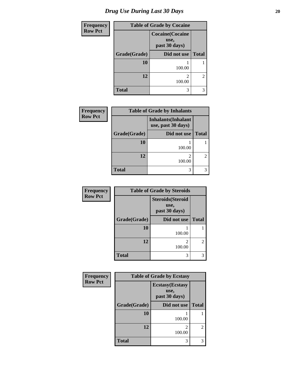| <b>Frequency</b> | <b>Table of Grade by Cocaine</b> |                                                  |                |
|------------------|----------------------------------|--------------------------------------------------|----------------|
| <b>Row Pct</b>   |                                  | <b>Cocaine</b> (Cocaine<br>use,<br>past 30 days) |                |
|                  | Grade(Grade)                     | Did not use                                      | <b>Total</b>   |
|                  | 10                               | 100.00                                           |                |
|                  | 12                               | 2<br>100.00                                      | $\overline{2}$ |
|                  | <b>Total</b>                     | 3                                                | 3              |

| Frequency      |              | <b>Table of Grade by Inhalants</b>               |              |
|----------------|--------------|--------------------------------------------------|--------------|
| <b>Row Pct</b> |              | <b>Inhalants</b> (Inhalant<br>use, past 30 days) |              |
|                | Grade(Grade) | Did not use                                      | <b>Total</b> |
|                | 10           | 100.00                                           |              |
|                | 12           | 100.00                                           |              |
|                | <b>Total</b> | 3                                                |              |

| Frequency      | <b>Table of Grade by Steroids</b> |                                                   |                |  |
|----------------|-----------------------------------|---------------------------------------------------|----------------|--|
| <b>Row Pct</b> |                                   | <b>Steroids</b> (Steroid<br>use,<br>past 30 days) |                |  |
|                | Grade(Grade)                      | Did not use                                       | <b>Total</b>   |  |
|                | 10                                | 100.00                                            |                |  |
|                | 12                                | $\overline{\mathcal{L}}$<br>100.00                | $\mathfrak{D}$ |  |
|                | <b>Total</b>                      | 3                                                 | 3              |  |

| Frequency      | <b>Table of Grade by Ecstasy</b> |                                                  |               |  |
|----------------|----------------------------------|--------------------------------------------------|---------------|--|
| <b>Row Pct</b> |                                  | <b>Ecstasy</b> (Ecstasy<br>use,<br>past 30 days) |               |  |
|                | Grade(Grade)                     | Did not use                                      | <b>Total</b>  |  |
|                | 10                               | 100.00                                           |               |  |
|                | 12                               | 100.00                                           | $\mathcal{L}$ |  |
|                | <b>Total</b>                     | 3                                                |               |  |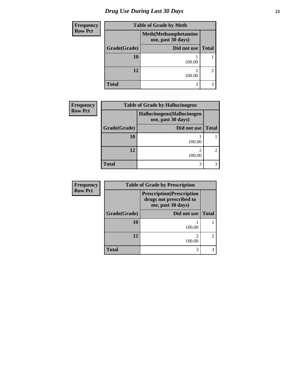# *Drug Use During Last 30 Days* **21**

| <b>Frequency</b> | <b>Table of Grade by Meth</b> |                                                    |                |  |
|------------------|-------------------------------|----------------------------------------------------|----------------|--|
| <b>Row Pct</b>   |                               | <b>Meth</b> (Methamphetamine<br>use, past 30 days) |                |  |
|                  | Grade(Grade)                  | Did not use                                        | <b>Total</b>   |  |
|                  | 10                            | 100.00                                             |                |  |
|                  | 12                            | $\mathfrak{D}$<br>100.00                           | $\overline{2}$ |  |
|                  | <b>Total</b>                  | 3                                                  | 3              |  |

| <b>Frequency</b> |              | <b>Table of Grade by Hallucinogens</b><br>Hallucinogens(Hallucinogen<br>use, past 30 days) |              |  |  |
|------------------|--------------|--------------------------------------------------------------------------------------------|--------------|--|--|
| <b>Row Pct</b>   |              |                                                                                            |              |  |  |
|                  | Grade(Grade) | Did not use                                                                                | <b>Total</b> |  |  |
|                  | 10           | 100.00                                                                                     |              |  |  |
|                  | 12           | 100.00                                                                                     |              |  |  |
|                  | <b>Total</b> | 3                                                                                          |              |  |  |

| <b>Frequency</b> |              | <b>Table of Grade by Prescription</b>                                             |                |  |
|------------------|--------------|-----------------------------------------------------------------------------------|----------------|--|
| <b>Row Pct</b>   |              | <b>Prescription</b> (Prescription<br>drugs not prescribed to<br>me, past 30 days) |                |  |
|                  | Grade(Grade) | Did not use                                                                       | <b>Total</b>   |  |
|                  | <b>10</b>    | 100.00                                                                            |                |  |
|                  | 12           | 100.00                                                                            | $\overline{2}$ |  |
|                  | <b>Total</b> | 3                                                                                 |                |  |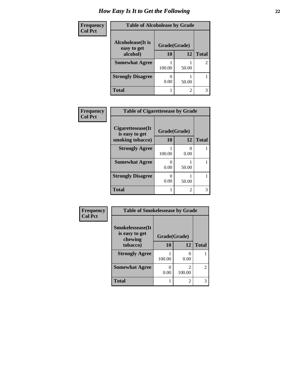| Frequency      | <b>Table of Alcoholease by Grade</b>     |              |       |                |
|----------------|------------------------------------------|--------------|-------|----------------|
| <b>Col Pct</b> | <b>Alcoholease</b> (It is<br>easy to get | Grade(Grade) |       |                |
|                | alcohol)                                 | 10           | 12    | <b>Total</b>   |
|                | <b>Somewhat Agree</b>                    | 100.00       | 50.00 | $\overline{c}$ |
|                | <b>Strongly Disagree</b>                 | 0.00         | 50.00 |                |
|                | <b>Total</b>                             |              | 2     | 3              |

| Frequency      | <b>Table of Cigarettesease by Grade</b> |              |           |              |
|----------------|-----------------------------------------|--------------|-----------|--------------|
| <b>Col Pct</b> | Cigarettesease(It)<br>is easy to get    | Grade(Grade) |           |              |
|                | smoking tobacco)                        | 10           | 12        | <b>Total</b> |
|                | <b>Strongly Agree</b>                   | 100.00       | 0<br>0.00 |              |
|                | <b>Somewhat Agree</b>                   | 0.00         | 50.00     |              |
|                | <b>Strongly Disagree</b>                | 1<br>0.00    | 50.00     |              |
|                | <b>Total</b>                            |              | 2         | 3            |

| Frequency      | <b>Table of Smokelessease by Grade</b>                |              |                          |                |
|----------------|-------------------------------------------------------|--------------|--------------------------|----------------|
| <b>Col Pct</b> | <b>Smokelessease</b> (It<br>is easy to get<br>chewing | Grade(Grade) |                          |                |
|                | tobacco)                                              | 10           | 12                       | <b>Total</b>   |
|                | <b>Strongly Agree</b>                                 | 100.00       | ∩<br>0.00                |                |
|                | <b>Somewhat Agree</b>                                 | 0.00         | $\mathfrak{D}$<br>100.00 | $\overline{2}$ |
|                | <b>Total</b>                                          |              | $\mathfrak{D}$           | 3              |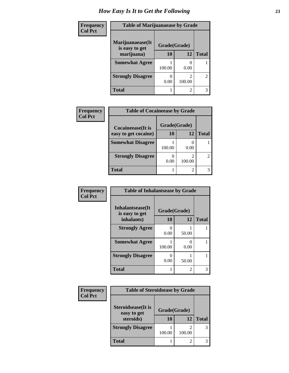| Frequency      | <b>Table of Marijuanaease by Grade</b> |           |                          |                |
|----------------|----------------------------------------|-----------|--------------------------|----------------|
| <b>Col Pct</b> | Marijuanaease(It<br>is easy to get     |           |                          |                |
|                | marijuana)                             | <b>10</b> | 12                       | <b>Total</b>   |
|                | <b>Somewhat Agree</b>                  | 100.00    | 0.00                     |                |
|                | <b>Strongly Disagree</b>               | 0.00      | $\mathfrak{D}$<br>100.00 | $\overline{c}$ |
|                | <b>Total</b>                           |           | $\overline{2}$           | 3              |

| Frequency      | <b>Table of Cocaineease by Grade</b>              |                    |        |                |
|----------------|---------------------------------------------------|--------------------|--------|----------------|
| <b>Col Pct</b> | <b>Cocaineease</b> (It is<br>easy to get cocaine) | Grade(Grade)<br>10 | 12     | <b>Total</b>   |
|                | <b>Somewhat Disagree</b>                          | 100.00             | 0.00   |                |
|                | <b>Strongly Disagree</b>                          | 0.00               | 100.00 | $\overline{2}$ |
|                | <b>Total</b>                                      |                    | 2      | 3              |

| Frequency      | <b>Table of Inhalantsease by Grade</b> |              |           |              |
|----------------|----------------------------------------|--------------|-----------|--------------|
| <b>Col Pct</b> | Inhalantsease(It                       | Grade(Grade) |           |              |
|                | is easy to get<br>inhalants)           | 10           | 12        | <b>Total</b> |
|                | <b>Strongly Agree</b>                  | 0.00         | 50.00     |              |
|                | <b>Somewhat Agree</b>                  | 100.00       | 0<br>0.00 |              |
|                | <b>Strongly Disagree</b>               | 0.00         | 50.00     |              |
|                | <b>Total</b>                           |              | 2         |              |

| Frequency      | <b>Table of Steroidsease by Grade</b>     |              |        |              |
|----------------|-------------------------------------------|--------------|--------|--------------|
| <b>Col Pct</b> | <b>Steroidsease</b> (It is<br>easy to get | Grade(Grade) |        |              |
|                | steroids)                                 | 10           | 12     | <b>Total</b> |
|                | <b>Strongly Disagree</b>                  | 100.00       | 100.00 | 3            |
|                | <b>Total</b>                              |              |        |              |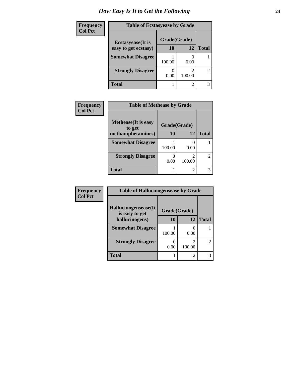| Frequency      | <b>Table of Ecstasyease by Grade</b> |              |        |                |
|----------------|--------------------------------------|--------------|--------|----------------|
| <b>Col Pct</b> | <b>Ecstasyease</b> (It is            | Grade(Grade) |        |                |
|                | easy to get ecstasy)                 | 10           | 12     | <b>Total</b>   |
|                | <b>Somewhat Disagree</b>             | 100.00       | 0.00   |                |
|                | <b>Strongly Disagree</b>             | 0.00         | 100.00 | $\overline{2}$ |
|                | Total                                |              | 2      | 3              |

| Frequency      | <b>Table of Methease by Grade</b>                     |        |                |              |
|----------------|-------------------------------------------------------|--------|----------------|--------------|
| <b>Col Pct</b> | <b>Methease</b> (It is easy<br>Grade(Grade)<br>to get |        |                |              |
|                | methamphetamines)                                     | 10     | 12             | <b>Total</b> |
|                | <b>Somewhat Disagree</b>                              | 100.00 | 0.00           |              |
|                | <b>Strongly Disagree</b>                              | 0.00   | 2<br>100.00    |              |
|                | <b>Total</b>                                          |        | $\overline{2}$ |              |

| <b>Frequency</b> | <b>Table of Hallucinogensease by Grade</b> |              |                  |                             |  |
|------------------|--------------------------------------------|--------------|------------------|-----------------------------|--|
| <b>Col Pct</b>   | Hallucinogensease(It<br>is easy to get     | Grade(Grade) |                  |                             |  |
|                  | hallucinogens)                             | 10           | 12               | <b>Total</b>                |  |
|                  | <b>Somewhat Disagree</b>                   | 100.00       | $\Omega$<br>0.00 |                             |  |
|                  | <b>Strongly Disagree</b>                   | 0.00         | 2<br>100.00      | $\mathcal{D}_{\mathcal{L}}$ |  |
|                  | <b>Total</b>                               |              | $\mathfrak{D}$   |                             |  |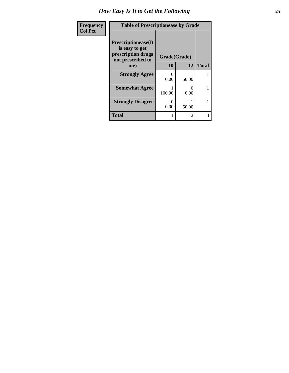| Frequency<br><b>Col Pct</b> | <b>Table of Prescriptionease by Grade</b>                                                |                  |                |              |
|-----------------------------|------------------------------------------------------------------------------------------|------------------|----------------|--------------|
|                             | <b>Prescriptionease</b> (It<br>is easy to get<br>prescription drugs<br>not prescribed to | Grade(Grade)     |                |              |
|                             | me)                                                                                      | 10               | 12             | <b>Total</b> |
|                             | <b>Strongly Agree</b>                                                                    | $\Omega$<br>0.00 | 50.00          |              |
|                             | <b>Somewhat Agree</b>                                                                    | 100.00           | 0<br>0.00      | 1            |
|                             | <b>Strongly Disagree</b>                                                                 | 0<br>0.00        | 50.00          |              |
|                             | Total                                                                                    |                  | $\overline{c}$ | 3            |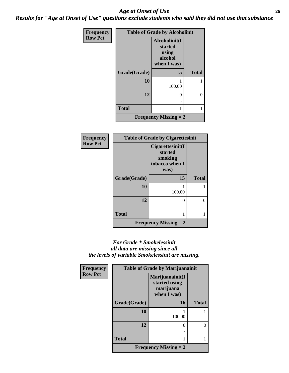#### *Age at Onset of Use* **26** *Results for "Age at Onset of Use" questions exclude students who said they did not use that substance*

| Frequency      | <b>Table of Grade by Alcoholinit</b> |                                                             |              |  |  |
|----------------|--------------------------------------|-------------------------------------------------------------|--------------|--|--|
| <b>Row Pct</b> |                                      | Alcoholinit(I<br>started<br>using<br>alcohol<br>when I was) |              |  |  |
|                | Grade(Grade)                         | 15                                                          | <b>Total</b> |  |  |
|                | 10                                   | 100.00                                                      |              |  |  |
|                | 12                                   | 0                                                           | 0            |  |  |
|                | <b>Total</b>                         |                                                             |              |  |  |
|                |                                      | <b>Frequency Missing = 2</b>                                |              |  |  |

| <b>Frequency</b> | <b>Table of Grade by Cigarettesinit</b> |                                                                  |              |  |  |
|------------------|-----------------------------------------|------------------------------------------------------------------|--------------|--|--|
| <b>Row Pct</b>   |                                         | Cigarettesinit(I<br>started<br>smoking<br>tobacco when I<br>was) |              |  |  |
|                  | Grade(Grade)                            | 15                                                               | <b>Total</b> |  |  |
|                  | 10                                      | 100.00                                                           |              |  |  |
|                  | 12                                      | 0                                                                | 0            |  |  |
|                  |                                         |                                                                  |              |  |  |
|                  | <b>Total</b>                            |                                                                  |              |  |  |
|                  |                                         | <b>Frequency Missing = 2</b>                                     |              |  |  |

#### *For Grade \* Smokelessinit all data are missing since all the levels of variable Smokelessinit are missing.*

| Frequency      | <b>Table of Grade by Marijuanainit</b> |                                                              |              |  |  |
|----------------|----------------------------------------|--------------------------------------------------------------|--------------|--|--|
| <b>Row Pct</b> |                                        | Marijuanainit(I<br>started using<br>marijuana<br>when I was) |              |  |  |
|                | Grade(Grade)                           | 16                                                           | <b>Total</b> |  |  |
|                | 10                                     | 100.00                                                       |              |  |  |
|                | 12                                     | 0                                                            |              |  |  |
|                | <b>Total</b>                           |                                                              |              |  |  |
|                |                                        | <b>Frequency Missing = 2</b>                                 |              |  |  |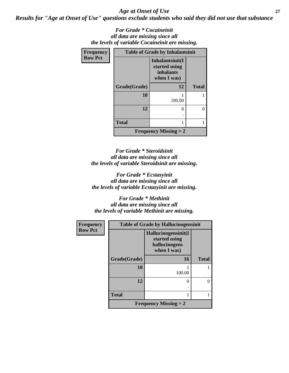*Age at Onset of Use* **27**

*Results for "Age at Onset of Use" questions exclude students who said they did not use that substance*

*For Grade \* Cocaineinit all data are missing since all the levels of variable Cocaineinit are missing.*

| <b>Frequency</b> | <b>Table of Grade by Inhalantsinit</b> |                                                              |              |  |
|------------------|----------------------------------------|--------------------------------------------------------------|--------------|--|
| <b>Row Pct</b>   |                                        | Inhalantsinit(I<br>started using<br>inhalants<br>when I was) |              |  |
|                  | Grade(Grade)                           | 12                                                           | <b>Total</b> |  |
|                  | 10                                     | 100.00                                                       |              |  |
|                  | 12                                     | 0                                                            |              |  |
|                  | <b>Total</b>                           | 1                                                            |              |  |
|                  |                                        | <b>Frequency Missing <math>= 2</math></b>                    |              |  |

*For Grade \* Steroidsinit all data are missing since all the levels of variable Steroidsinit are missing.*

*For Grade \* Ecstasyinit all data are missing since all the levels of variable Ecstasyinit are missing.*

*For Grade \* Methinit all data are missing since all the levels of variable Methinit are missing.*

| <b>Frequency</b> | <b>Table of Grade by Hallucinogensinit</b> |                                                                      |              |  |
|------------------|--------------------------------------------|----------------------------------------------------------------------|--------------|--|
| <b>Row Pct</b>   |                                            | Hallucinogensinit(I<br>started using<br>hallucinogens<br>when I was) |              |  |
|                  | Grade(Grade)                               | <b>16</b>                                                            | <b>Total</b> |  |
|                  | 10                                         | 100.00                                                               |              |  |
|                  | 12                                         | 0                                                                    |              |  |
|                  | <b>Total</b>                               |                                                                      |              |  |
|                  |                                            | <b>Frequency Missing = 2</b>                                         |              |  |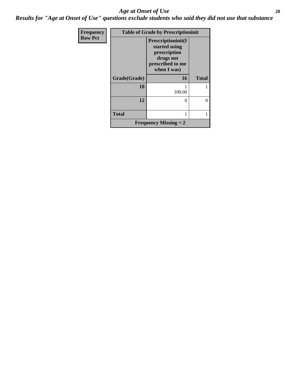#### *Age at Onset of Use* **28**

*Results for "Age at Onset of Use" questions exclude students who said they did not use that substance*

| Frequency      | <b>Table of Grade by Prescriptioninit</b> |                                                                                                             |              |  |
|----------------|-------------------------------------------|-------------------------------------------------------------------------------------------------------------|--------------|--|
| <b>Row Pct</b> |                                           | <b>Prescriptioninit(I)</b><br>started using<br>prescription<br>drugs not<br>prescribed to me<br>when I was) |              |  |
|                | Grade(Grade)                              | 16                                                                                                          | <b>Total</b> |  |
|                | 10                                        | 100.00                                                                                                      |              |  |
|                | 12                                        | $\theta$                                                                                                    |              |  |
|                | <b>Total</b>                              | 1                                                                                                           |              |  |
|                |                                           | <b>Frequency Missing = 2</b>                                                                                |              |  |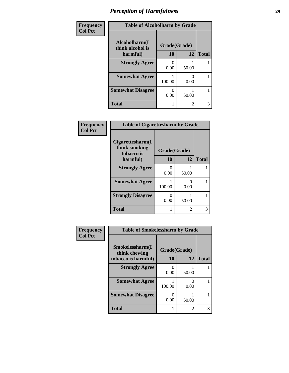| Frequency      | <b>Table of Alcoholharm by Grade</b>          |                    |                |              |
|----------------|-----------------------------------------------|--------------------|----------------|--------------|
| <b>Col Pct</b> | Alcoholharm(I<br>think alcohol is<br>harmful) | Grade(Grade)<br>10 | 12             | <b>Total</b> |
|                | <b>Strongly Agree</b>                         | 0.00               | 50.00          |              |
|                | <b>Somewhat Agree</b>                         | 100.00             | 0.00           |              |
|                | <b>Somewhat Disagree</b>                      | 0.00               | 50.00          |              |
|                | <b>Total</b>                                  |                    | $\mathfrak{D}$ | 3            |

| Frequency<br><b>Col Pct</b> | <b>Table of Cigarettesharm by Grade</b>           |              |                           |              |
|-----------------------------|---------------------------------------------------|--------------|---------------------------|--------------|
|                             | Cigare ttesharm(I)<br>think smoking<br>tobacco is | Grade(Grade) |                           |              |
|                             | harmful)                                          | 10           | 12                        | <b>Total</b> |
|                             | <b>Strongly Agree</b>                             | 0<br>0.00    | 50.00                     |              |
|                             | <b>Somewhat Agree</b>                             | 100.00       | $\mathbf{\Omega}$<br>0.00 |              |
|                             | <b>Strongly Disagree</b>                          | 0.00         | 50.00                     |              |
|                             | <b>Total</b>                                      |              | 2                         | 3            |

| Frequency      | <b>Table of Smokelessharm by Grade</b> |              |       |              |
|----------------|----------------------------------------|--------------|-------|--------------|
| <b>Col Pct</b> | Smokelessharm(I<br>think chewing       | Grade(Grade) |       |              |
|                | tobacco is harmful)                    | 10           | 12    | <b>Total</b> |
|                | <b>Strongly Agree</b>                  | 0.00         | 50.00 |              |
|                | <b>Somewhat Agree</b>                  | 100.00       | 0.00  |              |
|                | <b>Somewhat Disagree</b>               | O<br>0.00    | 50.00 |              |
|                | <b>Total</b>                           | 1            | 2     | 3            |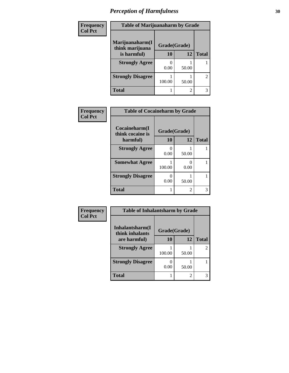| Frequency      | <b>Table of Marijuanaharm by Grade</b> |              |       |                |
|----------------|----------------------------------------|--------------|-------|----------------|
| <b>Col Pct</b> | Marijuanaharm(I<br>think marijuana     | Grade(Grade) |       |                |
|                | is harmful)                            | 10           | 12    | <b>Total</b>   |
|                | <b>Strongly Agree</b>                  | 0.00         | 50.00 |                |
|                | <b>Strongly Disagree</b>               | 100.00       | 50.00 | $\overline{2}$ |
|                | <b>Total</b>                           |              | 2     | 3              |

| Frequency      | <b>Table of Cocaineharm by Grade</b> |              |       |              |
|----------------|--------------------------------------|--------------|-------|--------------|
| <b>Col Pct</b> | Cocaineharm(I<br>think cocaine is    | Grade(Grade) |       |              |
|                | harmful)                             | 10           | 12    | <b>Total</b> |
|                | <b>Strongly Agree</b>                | 0.00         | 50.00 |              |
|                | <b>Somewhat Agree</b>                | 100.00       | 0.00  |              |
|                | <b>Strongly Disagree</b>             | 0.00         | 50.00 |              |
|                | <b>Total</b>                         |              | 2     | 3            |

| Frequency      | <b>Table of Inhalantsharm by Grade</b> |              |                |              |
|----------------|----------------------------------------|--------------|----------------|--------------|
| <b>Col Pct</b> | Inhalantsharm(I<br>think inhalants     | Grade(Grade) |                |              |
|                | are harmful)                           | 10           | 12             | <b>Total</b> |
|                | <b>Strongly Agree</b>                  | 100.00       | 50.00          | 2            |
|                | <b>Strongly Disagree</b>               | 0.00         | 50.00          |              |
|                | <b>Total</b>                           |              | $\mathfrak{D}$ | 3            |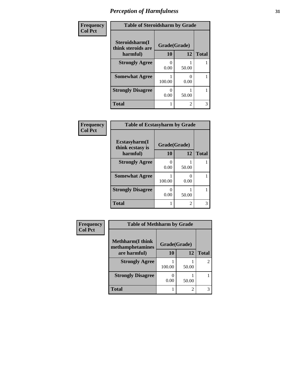| Frequency      | <b>Table of Steroidsharm by Grade</b> |              |                |              |
|----------------|---------------------------------------|--------------|----------------|--------------|
| <b>Col Pct</b> | Steroidsharm(I<br>think steroids are  | Grade(Grade) |                |              |
|                | harmful)                              | 10           | 12             | <b>Total</b> |
|                | <b>Strongly Agree</b>                 | 0<br>0.00    | 50.00          |              |
|                | <b>Somewhat Agree</b>                 | 100.00       | 0.00           |              |
|                | <b>Strongly Disagree</b>              | 0.00         | 50.00          |              |
|                | <b>Total</b>                          |              | $\overline{2}$ | 3            |

| Frequency      | <b>Table of Ecstasyharm by Grade</b> |                           |                |              |
|----------------|--------------------------------------|---------------------------|----------------|--------------|
| <b>Col Pct</b> | Ecstasyharm(I<br>think ecstasy is    | Grade(Grade)              |                |              |
|                | harmful)                             | 10                        | 12             | <b>Total</b> |
|                | <b>Strongly Agree</b>                | 0<br>0.00                 | 50.00          |              |
|                | <b>Somewhat Agree</b>                | 100.00                    | 0.00           |              |
|                | <b>Strongly Disagree</b>             | $\mathbf{\Omega}$<br>0.00 | 50.00          |              |
|                | <b>Total</b>                         |                           | $\mathfrak{D}$ | 3            |

| Frequency      | <b>Table of Methharm by Grade</b>            |              |                |              |
|----------------|----------------------------------------------|--------------|----------------|--------------|
| <b>Col Pct</b> | <b>Methharm</b> (I think<br>methamphetamines | Grade(Grade) |                |              |
|                | are harmful)                                 | <b>10</b>    | 12             | <b>Total</b> |
|                | <b>Strongly Agree</b>                        | 100.00       | 50.00          | 2            |
|                | <b>Strongly Disagree</b>                     | 0.00         | 50.00          |              |
|                | Total                                        |              | $\overline{c}$ | 3            |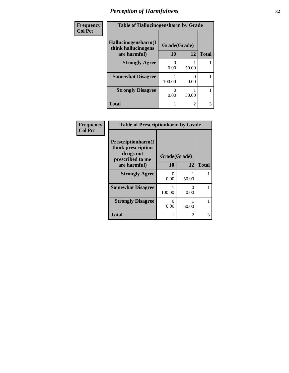| Frequency      | <b>Table of Hallucinogensharm by Grade</b> |              |                |              |
|----------------|--------------------------------------------|--------------|----------------|--------------|
| <b>Col Pct</b> | Hallucinogensharm(I<br>think hallucinogens | Grade(Grade) |                |              |
|                | are harmful)                               | 10           | 12             | <b>Total</b> |
|                | <b>Strongly Agree</b>                      | 0.00         | 50.00          |              |
|                | <b>Somewhat Disagree</b>                   | 100.00       | 0<br>0.00      |              |
|                | <b>Strongly Disagree</b>                   | 0.00         | 50.00          |              |
|                | <b>Total</b>                               |              | $\overline{2}$ | 3            |

| Frequency      | <b>Table of Prescriptionharm by Grade</b>                                         |              |                           |              |
|----------------|-----------------------------------------------------------------------------------|--------------|---------------------------|--------------|
| <b>Col Pct</b> | <b>Prescriptionharm(I)</b><br>think prescription<br>drugs not<br>prescribed to me | Grade(Grade) |                           |              |
|                | are harmful)                                                                      | 10           | 12                        | <b>Total</b> |
|                | <b>Strongly Agree</b>                                                             | 0<br>0.00    | 50.00                     |              |
|                | <b>Somewhat Disagree</b>                                                          | 100.00       | $\mathbf{\Omega}$<br>0.00 |              |
|                | <b>Strongly Disagree</b>                                                          | 0<br>0.00    | 50.00                     |              |
|                | <b>Total</b>                                                                      |              | 2                         | 3            |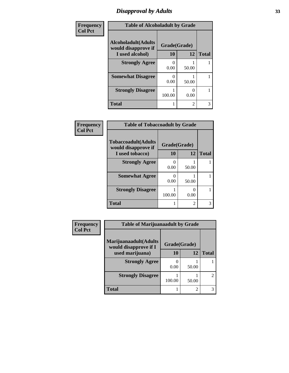## *Disapproval by Adults* **33**

| Frequency      | <b>Table of Alcoholadult by Grade</b>              |              |                |              |
|----------------|----------------------------------------------------|--------------|----------------|--------------|
| <b>Col Pct</b> | <b>Alcoholadult</b> (Adults<br>would disapprove if | Grade(Grade) |                |              |
|                | I used alcohol)                                    | 10           | 12             | <b>Total</b> |
|                | <b>Strongly Agree</b>                              | 0.00         | 50.00          |              |
|                | <b>Somewhat Disagree</b>                           | 0.00         | 50.00          |              |
|                | <b>Strongly Disagree</b>                           | 100.00       | 0.00           |              |
|                | <b>Total</b>                                       |              | $\mathfrak{D}$ | 3            |

| Frequency      |                                                   | <b>Table of Tobaccoadult by Grade</b> |                |              |
|----------------|---------------------------------------------------|---------------------------------------|----------------|--------------|
| <b>Col Pct</b> | <b>Tobaccoadult(Adults</b><br>would disapprove if | Grade(Grade)                          |                |              |
|                | I used tobacco)                                   | 10                                    | 12             | <b>Total</b> |
|                | <b>Strongly Agree</b>                             | 0.00                                  | 50.00          |              |
|                | <b>Somewhat Agree</b>                             | 0.00                                  | 50.00          |              |
|                | <b>Strongly Disagree</b>                          | 100.00                                | 0<br>0.00      |              |
|                | <b>Total</b>                                      |                                       | $\overline{c}$ | 3            |

| <b>Frequency</b> | <b>Table of Marijuanaadult by Grade</b>        |              |       |                |  |
|------------------|------------------------------------------------|--------------|-------|----------------|--|
| <b>Col Pct</b>   | Marijuanaadult(Adults<br>would disapprove if I | Grade(Grade) |       |                |  |
|                  | used marijuana)                                | 10           | 12    | <b>Total</b>   |  |
|                  | <b>Strongly Agree</b>                          | 0.00         | 50.00 |                |  |
|                  | <b>Strongly Disagree</b>                       | 100.00       | 50.00 | $\mathfrak{D}$ |  |
|                  | <b>Total</b>                                   |              | 2     | 3              |  |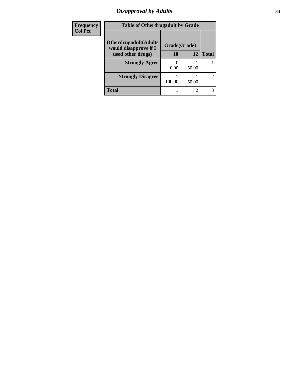#### *Disapproval by Adults* **34**

| <b>Frequency</b> | <b>Table of Otherdrugadult by Grade</b>                |              |       |                |
|------------------|--------------------------------------------------------|--------------|-------|----------------|
| <b>Col Pct</b>   | <b>Otherdrugadult</b> (Adults<br>would disapprove if I | Grade(Grade) |       |                |
|                  | used other drugs)                                      | 10           | 12    | <b>Total</b>   |
|                  | <b>Strongly Agree</b>                                  |              |       |                |
|                  |                                                        | 0.00         | 50.00 |                |
|                  | <b>Strongly Disagree</b>                               | 100.00       | 50.00 | $\overline{2}$ |
|                  |                                                        |              |       |                |
|                  | Total                                                  |              | 2     | 3              |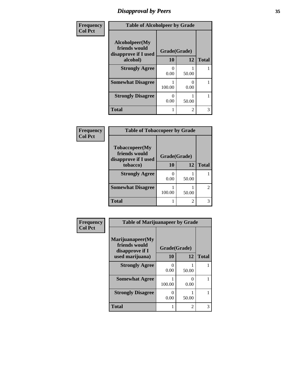## *Disapproval by Peers* **35**

| Frequency      | <b>Table of Alcoholpeer by Grade</b>                    |              |       |              |
|----------------|---------------------------------------------------------|--------------|-------|--------------|
| <b>Col Pct</b> | Alcoholpeer(My<br>friends would<br>disapprove if I used | Grade(Grade) |       |              |
|                | alcohol)                                                | 10           | 12    | <b>Total</b> |
|                | <b>Strongly Agree</b>                                   | 0.00         | 50.00 |              |
|                | <b>Somewhat Disagree</b>                                | 100.00       | 0.00  |              |
|                | <b>Strongly Disagree</b>                                | 0.00         | 50.00 |              |
|                | <b>Total</b>                                            |              | 2     | 3            |

| <b>Frequency</b> |
|------------------|
| <b>Col Pct</b>   |

| <b>Table of Tobaccopeer by Grade</b>                            |              |       |                |  |  |  |  |
|-----------------------------------------------------------------|--------------|-------|----------------|--|--|--|--|
| <b>Tobaccopeer</b> (My<br>friends would<br>disapprove if I used | Grade(Grade) |       |                |  |  |  |  |
| tobacco)                                                        | 10           | 12    | <b>Total</b>   |  |  |  |  |
| <b>Strongly Agree</b>                                           | 0.00         | 50.00 |                |  |  |  |  |
| <b>Somewhat Disagree</b>                                        | 100.00       | 50.00 | $\overline{2}$ |  |  |  |  |
| <b>Total</b>                                                    |              | 2     |                |  |  |  |  |

| Frequency      | <b>Table of Marijuanapeer by Grade</b>                                  |                           |       |              |  |
|----------------|-------------------------------------------------------------------------|---------------------------|-------|--------------|--|
| <b>Col Pct</b> | Marijuanapeer(My<br>friends would<br>disapprove if I<br>used marijuana) | Grade(Grade)<br><b>10</b> | 12    | <b>Total</b> |  |
|                | <b>Strongly Agree</b>                                                   | 0<br>0.00                 | 50.00 |              |  |
|                | <b>Somewhat Agree</b>                                                   | 100.00                    | 0.00  |              |  |
|                | <b>Strongly Disagree</b>                                                | 0<br>0.00                 | 50.00 |              |  |
|                | <b>Total</b>                                                            |                           | 2     | 3            |  |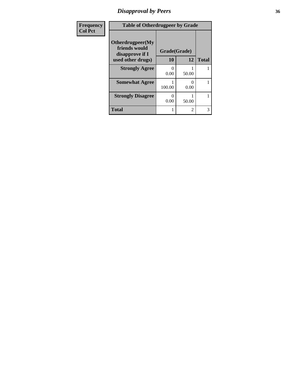## *Disapproval by Peers* **36**

| <b>Frequency</b> | <b>Table of Otherdrugpeer by Grade</b>                                    |              |       |              |  |
|------------------|---------------------------------------------------------------------------|--------------|-------|--------------|--|
| <b>Col Pct</b>   | Otherdrugpeer(My<br>friends would<br>disapprove if I<br>used other drugs) | Grade(Grade) |       |              |  |
|                  |                                                                           | 10           | 12    | <b>Total</b> |  |
|                  | <b>Strongly Agree</b>                                                     | 0.00         | 50.00 |              |  |
|                  | <b>Somewhat Agree</b>                                                     | 100.00       | 0.00  |              |  |
|                  | <b>Strongly Disagree</b>                                                  | 0.00         | 50.00 |              |  |
|                  | <b>Total</b>                                                              |              | 2     | 3            |  |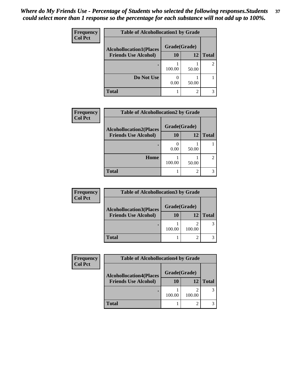| Frequency      | <b>Table of Alcohollocation1 by Grade</b> |              |                |                |  |
|----------------|-------------------------------------------|--------------|----------------|----------------|--|
| <b>Col Pct</b> | <b>Alcohollocation1(Places</b>            | Grade(Grade) |                |                |  |
|                | <b>Friends Use Alcohol)</b>               | 10           | 12             | <b>Total</b>   |  |
|                |                                           | 100.00       | 50.00          | $\mathfrak{D}$ |  |
|                | Do Not Use                                | 0.00         | 50.00          |                |  |
|                | <b>Total</b>                              |              | $\overline{c}$ |                |  |

| Frequency      | <b>Table of Alcohollocation2 by Grade</b> |              |       |              |
|----------------|-------------------------------------------|--------------|-------|--------------|
| <b>Col Pct</b> | <b>Alcohollocation2(Places</b>            | Grade(Grade) |       |              |
|                | <b>Friends Use Alcohol)</b>               | 10           | 12    | <b>Total</b> |
|                |                                           | 0.00         | 50.00 |              |
|                | Home                                      | 100.00       | 50.00 |              |
|                | <b>Total</b>                              |              | ∍     |              |

| Frequency      | <b>Table of Alcohollocation3 by Grade</b> |              |        |              |  |
|----------------|-------------------------------------------|--------------|--------|--------------|--|
| <b>Col Pct</b> | <b>Alcohollocation3(Places</b>            | Grade(Grade) |        |              |  |
|                | <b>Friends Use Alcohol)</b>               | <b>10</b>    | 12     | <b>Total</b> |  |
|                |                                           | 100.00       | 100.00 |              |  |
|                | <b>Total</b>                              |              |        |              |  |

| <b>Frequency</b> | <b>Table of Alcohollocation4 by Grade</b> |              |        |              |
|------------------|-------------------------------------------|--------------|--------|--------------|
| <b>Col Pct</b>   | <b>Alcohollocation4(Places</b>            | Grade(Grade) |        |              |
|                  | <b>Friends Use Alcohol)</b>               | 10           | 12     | <b>Total</b> |
|                  |                                           | 100.00       | 100.00 |              |
|                  | <b>Total</b>                              |              | ◠      |              |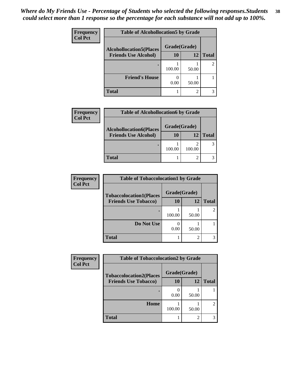| Frequency      | <b>Table of Alcohollocation5 by Grade</b> |              |       |                |  |
|----------------|-------------------------------------------|--------------|-------|----------------|--|
| <b>Col Pct</b> | <b>Alcohollocation5(Places</b>            | Grade(Grade) |       |                |  |
|                | <b>Friends Use Alcohol)</b>               | 10           | 12    | <b>Total</b>   |  |
|                |                                           | 100.00       | 50.00 | $\mathfrak{D}$ |  |
|                | <b>Friend's House</b>                     | 0.00         | 50.00 |                |  |
|                | <b>Total</b>                              |              | 2     |                |  |

| <b>Frequency</b> | <b>Table of Alcohollocation6 by Grade</b> |              |        |              |  |
|------------------|-------------------------------------------|--------------|--------|--------------|--|
| <b>Col Pct</b>   | <b>Alcohollocation6(Places</b>            | Grade(Grade) |        |              |  |
|                  | <b>Friends Use Alcohol)</b>               | 10           | 12     | <b>Total</b> |  |
|                  |                                           | 100.00       | 100.00 |              |  |
|                  | <b>Total</b>                              |              |        |              |  |

| <b>Frequency</b> | <b>Table of Tobaccolocation1 by Grade</b> |              |       |              |
|------------------|-------------------------------------------|--------------|-------|--------------|
| <b>Col Pct</b>   | <b>Tobaccolocation1(Places</b>            | Grade(Grade) |       |              |
|                  | <b>Friends Use Tobacco)</b>               | 10           | 12    | <b>Total</b> |
|                  |                                           | 100.00       | 50.00 |              |
|                  | Do Not Use                                | 0.00         | 50.00 |              |
|                  | <b>Total</b>                              |              |       |              |

| Frequency      | <b>Table of Tobaccolocation2 by Grade</b> |              |       |              |
|----------------|-------------------------------------------|--------------|-------|--------------|
| <b>Col Pct</b> | <b>Tobaccolocation2(Places</b>            | Grade(Grade) |       |              |
|                | <b>Friends Use Tobacco)</b>               | 10           | 12    | <b>Total</b> |
|                |                                           | 0.00         | 50.00 |              |
|                | Home                                      | 100.00       | 50.00 | 2            |
|                | <b>Total</b>                              |              | 2     |              |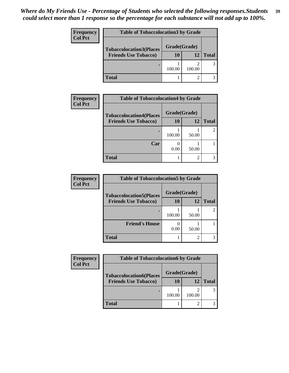| Frequency      | <b>Table of Tobaccolocation3 by Grade</b> |              |        |              |  |
|----------------|-------------------------------------------|--------------|--------|--------------|--|
| <b>Col Pct</b> | <b>Tobaccolocation3(Places</b>            | Grade(Grade) |        |              |  |
|                | <b>Friends Use Tobacco)</b>               | 10           | 12     | <b>Total</b> |  |
|                |                                           | 100.00       | 100.00 |              |  |
|                | <b>Total</b>                              |              |        |              |  |

| <b>Frequency</b> | <b>Table of Tobaccolocation4 by Grade</b> |              |       |              |
|------------------|-------------------------------------------|--------------|-------|--------------|
| <b>Col Pct</b>   | <b>Tobaccolocation4(Places</b>            | Grade(Grade) |       |              |
|                  | <b>Friends Use Tobacco)</b>               | 10           | 12    | <b>Total</b> |
|                  |                                           | 100.00       | 50.00 |              |
|                  | Car                                       | 0.00         | 50.00 |              |
|                  | <b>Total</b>                              |              | ↑     |              |

| <b>Frequency</b> | <b>Table of Tobaccolocation5 by Grade</b> |              |       |              |
|------------------|-------------------------------------------|--------------|-------|--------------|
| <b>Col Pct</b>   | <b>Tobaccolocation5(Places</b>            | Grade(Grade) |       |              |
|                  | <b>Friends Use Tobacco)</b>               | 10           | 12    | <b>Total</b> |
|                  |                                           | 100.00       | 50.00 |              |
|                  | <b>Friend's House</b>                     | 0.00         | 50.00 |              |
|                  | <b>Total</b>                              |              |       |              |

| Frequency      | <b>Table of Tobaccolocation6 by Grade</b> |              |        |              |  |
|----------------|-------------------------------------------|--------------|--------|--------------|--|
| <b>Col Pct</b> | <b>Tobaccolocation6(Places</b>            | Grade(Grade) |        |              |  |
|                | <b>Friends Use Tobacco)</b>               | 10           | 12     | <b>Total</b> |  |
|                |                                           | 100.00       | 100.00 |              |  |
|                | <b>Total</b>                              |              | ↑      |              |  |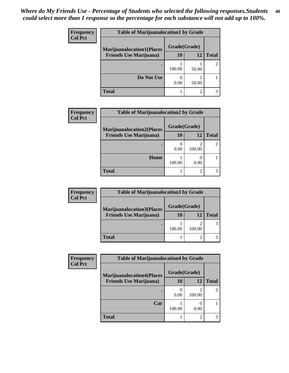| <b>Frequency</b> | <b>Table of Marijuanalocation1 by Grade</b> |              |       |              |
|------------------|---------------------------------------------|--------------|-------|--------------|
| <b>Col Pct</b>   | <b>Marijuanalocation1(Places</b>            | Grade(Grade) |       |              |
|                  | <b>Friends Use Marijuana</b> )              | <b>10</b>    | 12    | <b>Total</b> |
|                  |                                             | 100.00       | 50.00 |              |
|                  | Do Not Use                                  | 0.00         | 50.00 |              |
|                  | <b>Total</b>                                |              |       |              |

| <b>Frequency</b> | <b>Table of Marijuanalocation2 by Grade</b> |              |        |              |
|------------------|---------------------------------------------|--------------|--------|--------------|
| <b>Col Pct</b>   | <b>Marijuanalocation2(Places</b>            | Grade(Grade) |        |              |
|                  | <b>Friends Use Marijuana</b> )              | 10           | 12     | <b>Total</b> |
|                  |                                             | 0.00         | 100.00 |              |
|                  | Home                                        | 100.00       | 0.00   |              |
|                  | <b>Total</b>                                |              |        |              |

| <b>Frequency</b> | <b>Table of Marijuanalocation3 by Grade</b> |              |        |              |  |
|------------------|---------------------------------------------|--------------|--------|--------------|--|
| <b>Col Pct</b>   | <b>Marijuanalocation3(Places</b>            | Grade(Grade) |        |              |  |
|                  | <b>Friends Use Marijuana</b> )              | <b>10</b>    | 12     | <b>Total</b> |  |
|                  |                                             | 100.00       | 100.00 |              |  |
|                  | <b>Total</b>                                |              |        |              |  |

| <b>Frequency</b> | <b>Table of Marijuanalocation4 by Grade</b> |              |        |              |  |
|------------------|---------------------------------------------|--------------|--------|--------------|--|
| <b>Col Pct</b>   | <b>Marijuanalocation4(Places</b>            | Grade(Grade) |        |              |  |
|                  | <b>Friends Use Marijuana</b> )              | 10           | 12     | <b>Total</b> |  |
|                  |                                             | 0.00         | 100.00 |              |  |
|                  | Car                                         | 100.00       | 0.00   |              |  |
|                  | <b>Total</b>                                |              | 2      |              |  |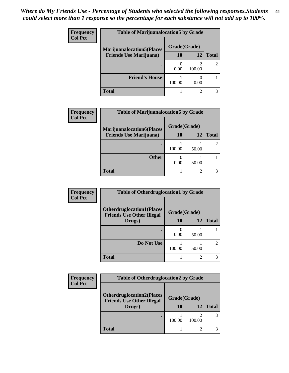| <b>Frequency</b> | <b>Table of Marijuanalocation5 by Grade</b> |              |        |              |
|------------------|---------------------------------------------|--------------|--------|--------------|
| <b>Col Pct</b>   | <b>Marijuanalocation5</b> (Places           | Grade(Grade) |        |              |
|                  | <b>Friends Use Marijuana</b> )              | 10           | 12     | <b>Total</b> |
|                  |                                             | 0.00         | 100.00 |              |
|                  | <b>Friend's House</b>                       | 100.00       | 0.00   |              |
|                  | Total                                       |              | ി      |              |

| Frequency      | <b>Table of Marijuanalocation6 by Grade</b> |              |       |              |
|----------------|---------------------------------------------|--------------|-------|--------------|
| <b>Col Pct</b> | <b>Marijuanalocation6(Places</b>            | Grade(Grade) |       |              |
|                | <b>Friends Use Marijuana</b> )              | 10           | 12    | <b>Total</b> |
|                |                                             | 100.00       | 50.00 |              |
|                | <b>Other</b>                                | 0.00         | 50.00 |              |
|                | <b>Total</b>                                |              | ◠     |              |

| Frequency      | <b>Table of Otherdruglocation1 by Grade</b>                          |              |                             |                             |
|----------------|----------------------------------------------------------------------|--------------|-----------------------------|-----------------------------|
| <b>Col Pct</b> | <b>Otherdruglocation1(Places</b><br><b>Friends Use Other Illegal</b> | Grade(Grade) |                             |                             |
|                | Drugs)                                                               | 10           | 12                          | <b>Total</b>                |
|                |                                                                      | 0.00         | 50.00                       |                             |
|                | Do Not Use                                                           | 100.00       | 50.00                       | $\mathcal{D}_{\mathcal{L}}$ |
|                | <b>Total</b>                                                         |              | $\mathcal{D}_{\mathcal{L}}$ |                             |

| <b>Frequency</b> |                                                                      | <b>Table of Otherdruglocation2 by Grade</b> |        |              |  |  |
|------------------|----------------------------------------------------------------------|---------------------------------------------|--------|--------------|--|--|
| <b>Col Pct</b>   | <b>Otherdruglocation2(Places</b><br><b>Friends Use Other Illegal</b> | Grade(Grade)                                |        |              |  |  |
|                  | Drugs)                                                               | <b>10</b>                                   | 12     | <b>Total</b> |  |  |
|                  |                                                                      | 100.00                                      | 100.00 |              |  |  |
|                  | <b>Total</b>                                                         |                                             |        |              |  |  |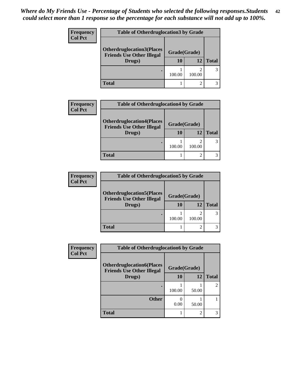| <b>Frequency</b> | <b>Table of Otherdruglocation 3 by Grade</b>                         |              |        |              |  |
|------------------|----------------------------------------------------------------------|--------------|--------|--------------|--|
| <b>Col Pct</b>   | <b>Otherdruglocation3(Places</b><br><b>Friends Use Other Illegal</b> | Grade(Grade) |        |              |  |
|                  | Drugs)                                                               | 10           | 12     | <b>Total</b> |  |
|                  |                                                                      | 100.00       | 100.00 | 3            |  |
|                  | Total                                                                |              |        |              |  |

| <b>Frequency</b> | <b>Table of Otherdruglocation4 by Grade</b>                                    |                    |        |              |
|------------------|--------------------------------------------------------------------------------|--------------------|--------|--------------|
| <b>Col Pct</b>   | <b>Otherdruglocation4(Places</b><br><b>Friends Use Other Illegal</b><br>Drugs) | Grade(Grade)<br>10 | 12     | <b>Total</b> |
|                  |                                                                                | 100.00             | 100.00 |              |
|                  | <b>Total</b>                                                                   |                    |        |              |

| <b>Frequency</b> | <b>Table of Otherdruglocation5 by Grade</b>                          |              |        |              |
|------------------|----------------------------------------------------------------------|--------------|--------|--------------|
| <b>Col Pct</b>   | <b>Otherdruglocation5(Places</b><br><b>Friends Use Other Illegal</b> | Grade(Grade) |        |              |
|                  | Drugs)                                                               | 10           | 12     | <b>Total</b> |
|                  |                                                                      | 100.00       | 100.00 |              |
|                  | <b>Total</b>                                                         |              |        |              |

| Frequency      | <b>Table of Otherdruglocation6 by Grade</b>                          |              |               |              |  |
|----------------|----------------------------------------------------------------------|--------------|---------------|--------------|--|
| <b>Col Pct</b> | <b>Otherdruglocation6(Places</b><br><b>Friends Use Other Illegal</b> | Grade(Grade) |               |              |  |
|                | Drugs)                                                               | <b>10</b>    | 12            | <b>Total</b> |  |
|                |                                                                      | 100.00       | 50.00         |              |  |
|                | <b>Other</b>                                                         | 0.00         | 50.00         |              |  |
|                | <b>Total</b>                                                         |              | $\mathcal{D}$ |              |  |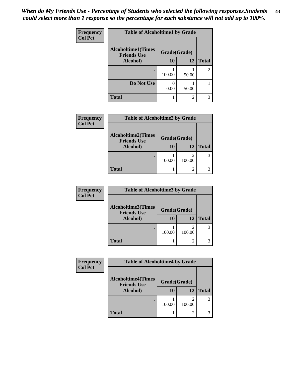| Frequency      | <b>Table of Alcoholtime1 by Grade</b>           |              |       |              |  |
|----------------|-------------------------------------------------|--------------|-------|--------------|--|
| <b>Col Pct</b> | <b>Alcoholtime1(Times</b><br><b>Friends Use</b> | Grade(Grade) |       |              |  |
|                | Alcohol)                                        | 10           | 12    | <b>Total</b> |  |
|                |                                                 | 100.00       | 50.00 | 2            |  |
|                | Do Not Use                                      | 0.00         | 50.00 |              |  |
|                | <b>Total</b>                                    |              | 2     |              |  |

| Frequency      | <b>Table of Alcoholtime2 by Grade</b>                       |              |                |              |
|----------------|-------------------------------------------------------------|--------------|----------------|--------------|
| <b>Col Pct</b> | <b>Alcoholtime2(Times</b><br><b>Friends Use</b><br>Alcohol) | Grade(Grade) |                |              |
|                |                                                             | 10           | 12             | <b>Total</b> |
|                |                                                             | 100.00       | 2<br>100.00    |              |
|                | <b>Total</b>                                                |              | $\overline{2}$ |              |

| <b>Frequency</b> | <b>Table of Alcoholtime3 by Grade</b>           |              |        |              |
|------------------|-------------------------------------------------|--------------|--------|--------------|
| <b>Col Pct</b>   | <b>Alcoholtime3(Times</b><br><b>Friends Use</b> | Grade(Grade) |        |              |
|                  | Alcohol)                                        | 10           | 12     | <b>Total</b> |
|                  |                                                 | 100.00       | 100.00 |              |
|                  | <b>Total</b>                                    |              | 2      |              |

| <b>Frequency</b> | <b>Table of Alcoholtime4 by Grade</b>           |              |        |              |
|------------------|-------------------------------------------------|--------------|--------|--------------|
| <b>Col Pct</b>   | <b>Alcoholtime4(Times</b><br><b>Friends Use</b> | Grade(Grade) |        |              |
|                  | Alcohol)                                        | 10           | 12     | <b>Total</b> |
|                  |                                                 | 100.00       | 100.00 | 3            |
|                  | <b>Total</b>                                    |              |        |              |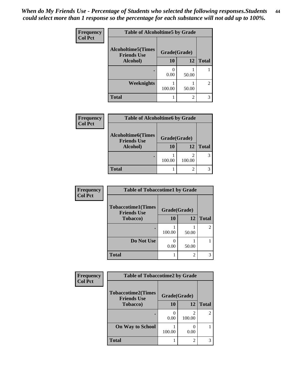| Frequency      | <b>Table of Alcoholtime5 by Grade</b>           |              |                |              |
|----------------|-------------------------------------------------|--------------|----------------|--------------|
| <b>Col Pct</b> | <b>Alcoholtime5(Times</b><br><b>Friends Use</b> | Grade(Grade) |                |              |
|                | Alcohol)                                        | 10           | 12             | <b>Total</b> |
|                |                                                 | 0.00         | 50.00          |              |
|                | <b>Weeknights</b>                               | 100.00       | 50.00          | 2            |
|                | <b>Total</b>                                    |              | $\mathfrak{D}$ | 3            |

| Frequency      | <b>Table of Alcoholtime6 by Grade</b>           |              |             |              |
|----------------|-------------------------------------------------|--------------|-------------|--------------|
| <b>Col Pct</b> | <b>Alcoholtime6(Times</b><br><b>Friends Use</b> | Grade(Grade) |             |              |
|                | Alcohol)                                        | 10           | 12          | <b>Total</b> |
|                |                                                 | 100.00       | 2<br>100.00 |              |
|                | <b>Total</b>                                    |              | 2           |              |

| Frequency      | <b>Table of Tobaccotime1 by Grade</b>           |              |                |                |  |
|----------------|-------------------------------------------------|--------------|----------------|----------------|--|
| <b>Col Pct</b> | <b>Tobaccotime1(Times</b><br><b>Friends Use</b> | Grade(Grade) |                |                |  |
|                | Tobacco)                                        | 10           | 12             | <b>Total</b>   |  |
|                |                                                 | 100.00       | 50.00          | $\mathfrak{D}$ |  |
|                | Do Not Use                                      | 0.00         | 50.00          |                |  |
|                | <b>Total</b>                                    |              | $\overline{2}$ |                |  |

| Frequency      | <b>Table of Tobaccotime2 by Grade</b>           |              |             |                |
|----------------|-------------------------------------------------|--------------|-------------|----------------|
| <b>Col Pct</b> | <b>Tobaccotime2(Times</b><br><b>Friends Use</b> | Grade(Grade) |             |                |
|                | <b>Tobacco</b> )                                | 10           | 12          | <b>Total</b>   |
|                | $\bullet$                                       | 0.00         | 2<br>100.00 | $\overline{2}$ |
|                | <b>On Way to School</b>                         | 100.00       | 0.00        |                |
|                | <b>Total</b>                                    |              | 2           | 3              |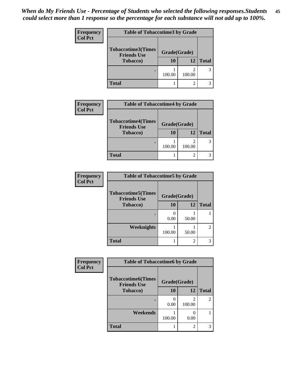| <b>Frequency</b><br><b>Col Pct</b> | <b>Table of Tobaccotime3 by Grade</b>           |              |                |              |
|------------------------------------|-------------------------------------------------|--------------|----------------|--------------|
|                                    | <b>Tobaccotime3(Times</b><br><b>Friends Use</b> | Grade(Grade) |                |              |
|                                    | <b>Tobacco</b> )                                | 10           | 12             | <b>Total</b> |
|                                    |                                                 | 100.00       | 100.00         | 3            |
|                                    | <b>Total</b>                                    |              | $\mathfrak{D}$ |              |

| <b>Frequency</b> | <b>Table of Tobaccotime4 by Grade</b>                               |                          |        |              |
|------------------|---------------------------------------------------------------------|--------------------------|--------|--------------|
| <b>Col Pct</b>   | <b>Tobaccotime4(Times</b><br><b>Friends Use</b><br><b>Tobacco</b> ) | Grade(Grade)<br>12<br>10 |        | <b>Total</b> |
|                  |                                                                     | 100.00                   | 100.00 |              |
|                  | <b>Total</b>                                                        |                          | ◠      |              |

| Frequency      | <b>Table of Tobaccotime5 by Grade</b>           |              |       |               |
|----------------|-------------------------------------------------|--------------|-------|---------------|
| <b>Col Pct</b> | <b>Tobaccotime5(Times</b><br><b>Friends Use</b> | Grade(Grade) |       |               |
|                | <b>Tobacco</b> )                                | 10           | 12    | <b>Total</b>  |
|                |                                                 | 0.00         | 50.00 |               |
|                | <b>Weeknights</b>                               | 100.00       | 50.00 | $\mathcal{L}$ |
|                | <b>Total</b>                                    |              | 2     | 3             |

| <b>Frequency</b> | <b>Table of Tobaccotime6 by Grade</b>           |              |             |                |
|------------------|-------------------------------------------------|--------------|-------------|----------------|
| <b>Col Pct</b>   | <b>Tobaccotime6(Times</b><br><b>Friends Use</b> | Grade(Grade) |             |                |
|                  | <b>Tobacco</b> )                                | 10           | 12          | <b>Total</b>   |
|                  |                                                 | 0.00         | 2<br>100.00 | $\overline{2}$ |
|                  | Weekends                                        | 100.00       | 0.00        |                |
|                  | <b>Total</b>                                    |              | 2           | 3              |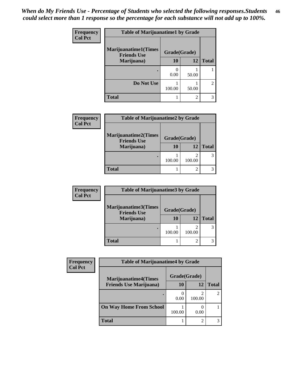| Frequency      | <b>Table of Marijuanatime1 by Grade</b>           |              |       |                             |  |
|----------------|---------------------------------------------------|--------------|-------|-----------------------------|--|
| <b>Col Pct</b> | <b>Marijuanatime1(Times</b><br><b>Friends Use</b> | Grade(Grade) |       |                             |  |
|                | Marijuana)                                        | 10           | 12    | <b>Total</b>                |  |
|                |                                                   | 0.00         | 50.00 |                             |  |
|                | Do Not Use                                        | 100.00       | 50.00 | $\mathcal{D}_{\mathcal{L}}$ |  |
|                | <b>Total</b>                                      |              | 2     |                             |  |

| <b>Frequency</b> | <b>Table of Marijuanatime2 by Grade</b>           |              |        |              |
|------------------|---------------------------------------------------|--------------|--------|--------------|
| <b>Col Pct</b>   | <b>Marijuanatime2(Times</b><br><b>Friends Use</b> | Grade(Grade) |        |              |
|                  | Marijuana)                                        | 10           | 12     | <b>Total</b> |
|                  |                                                   | 100.00       | 100.00 |              |
|                  | <b>Total</b>                                      |              |        |              |

| <b>Frequency</b> | <b>Table of Marijuanatime3 by Grade</b>    |              |        |              |
|------------------|--------------------------------------------|--------------|--------|--------------|
| <b>Col Pct</b>   | Marijuanatime3(Times<br><b>Friends Use</b> | Grade(Grade) |        |              |
|                  | Marijuana)                                 | 10           | 12     | <b>Total</b> |
|                  |                                            | 100.00       | 100.00 |              |
|                  | <b>Total</b>                               |              |        |              |

| <b>Frequency</b> | <b>Table of Marijuanatime4 by Grade</b> |              |        |              |
|------------------|-----------------------------------------|--------------|--------|--------------|
| <b>Col Pct</b>   | <b>Marijuanatime4</b> (Times            | Grade(Grade) |        |              |
|                  | <b>Friends Use Marijuana</b> )          | 10           | 12     | <b>Total</b> |
|                  |                                         | 0.00         | 100.00 |              |
|                  | <b>On Way Home From School</b>          | 100.00       | 0.00   |              |
|                  | <b>Total</b>                            |              | 2      |              |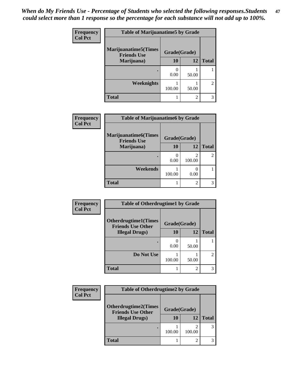| Frequency<br><b>Col Pct</b> | <b>Table of Marijuanatime5 by Grade</b>            |              |                |                             |
|-----------------------------|----------------------------------------------------|--------------|----------------|-----------------------------|
|                             | <b>Marijuanatime5</b> (Times<br><b>Friends Use</b> | Grade(Grade) |                |                             |
|                             | Marijuana)                                         | 10           | 12             | <b>Total</b>                |
|                             |                                                    | 0.00         | 50.00          |                             |
|                             | Weeknights                                         | 100.00       | 50.00          | $\mathcal{D}_{\mathcal{L}}$ |
|                             | <b>Total</b>                                       |              | $\overline{2}$ |                             |

| Frequency      | <b>Table of Marijuanatime6 by Grade</b>            |              |             |                |
|----------------|----------------------------------------------------|--------------|-------------|----------------|
| <b>Col Pct</b> | <b>Marijuanatime6</b> (Times<br><b>Friends Use</b> | Grade(Grade) |             |                |
|                | Marijuana)                                         | 10           | 12          | <b>Total</b>   |
|                |                                                    | 0.00         | 2<br>100.00 | $\overline{2}$ |
|                | Weekends                                           | 100.00       | 0.00        |                |
|                | <b>Total</b>                                       |              | 2           | 3              |

| Frequency      | <b>Table of Otherdrugtime1 by Grade</b>                 |              |                |                             |
|----------------|---------------------------------------------------------|--------------|----------------|-----------------------------|
| <b>Col Pct</b> | <b>Otherdrugtime1(Times</b><br><b>Friends Use Other</b> | Grade(Grade) |                |                             |
|                | <b>Illegal Drugs</b> )                                  | 10           | 12             | <b>Total</b>                |
|                |                                                         | 0.00         | 50.00          |                             |
|                | Do Not Use                                              | 100.00       | 50.00          | $\mathcal{D}_{\mathcal{A}}$ |
|                | Total                                                   |              | $\mathfrak{D}$ | 3                           |

| <b>Frequency</b> | <b>Table of Otherdrugtime2 by Grade</b>                 |              |        |              |  |
|------------------|---------------------------------------------------------|--------------|--------|--------------|--|
| <b>Col Pct</b>   | <b>Otherdrugtime2(Times</b><br><b>Friends Use Other</b> | Grade(Grade) |        |              |  |
|                  | <b>Illegal Drugs)</b>                                   | 10           | 12     | <b>Total</b> |  |
|                  |                                                         | 100.00       | 100.00 | 3            |  |
|                  | Total                                                   |              | ◠      | 3            |  |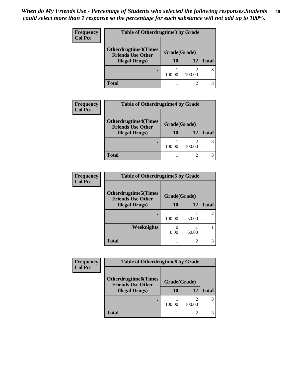| <b>Frequency</b> | <b>Table of Otherdrugtime3 by Grade</b>            |              |               |              |  |
|------------------|----------------------------------------------------|--------------|---------------|--------------|--|
| <b>Col Pct</b>   | Otherdrugtime3(Times                               | Grade(Grade) |               |              |  |
|                  | <b>Friends Use Other</b><br><b>Illegal Drugs</b> ) | 10           | 12            | <b>Total</b> |  |
|                  |                                                    | 100.00       | ာ<br>100.00   | 3            |  |
|                  | <b>Total</b>                                       |              | $\mathcal{D}$ |              |  |

| <b>Frequency</b> | <b>Table of Otherdrugtime4 by Grade</b>                 |              |        |              |
|------------------|---------------------------------------------------------|--------------|--------|--------------|
| <b>Col Pct</b>   | <b>Otherdrugtime4(Times</b><br><b>Friends Use Other</b> | Grade(Grade) |        |              |
|                  | <b>Illegal Drugs</b> )                                  | 10           | 12     | <b>Total</b> |
|                  | ٠                                                       | 100.00       | 100.00 | 3            |
|                  | Total                                                   |              |        |              |

| <b>Frequency</b> | <b>Table of Otherdrugtime5 by Grade</b>                  |              |                |               |
|------------------|----------------------------------------------------------|--------------|----------------|---------------|
| <b>Col Pct</b>   | <b>Otherdrugtime5</b> (Times<br><b>Friends Use Other</b> | Grade(Grade) |                |               |
|                  | <b>Illegal Drugs)</b>                                    | 10           | 12             | <b>Total</b>  |
|                  | $\bullet$                                                | 100.00       | 50.00          | $\mathcal{L}$ |
|                  | Weeknights                                               | 0<br>0.00    | 50.00          |               |
|                  | <b>Total</b>                                             |              | $\mathfrak{D}$ | 3             |

| <b>Frequency</b> | <b>Table of Otherdrugtime6 by Grade</b>                 |              |             |              |
|------------------|---------------------------------------------------------|--------------|-------------|--------------|
| <b>Col Pct</b>   | <b>Otherdrugtime6(Times</b><br><b>Friends Use Other</b> | Grade(Grade) |             |              |
|                  | <b>Illegal Drugs</b> )                                  | 10           | 12          | <b>Total</b> |
|                  |                                                         | 100.00       | ി<br>100.00 |              |
|                  | <b>Total</b>                                            |              | ി           |              |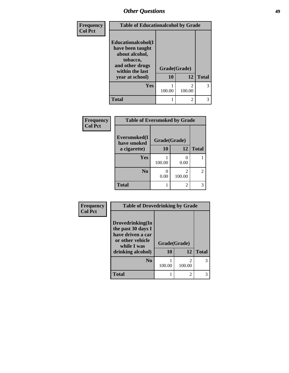| Frequency      | <b>Table of Educationalcohol by Grade</b>                                                                  |              |                                       |              |
|----------------|------------------------------------------------------------------------------------------------------------|--------------|---------------------------------------|--------------|
| <b>Col Pct</b> | Educationalcohol(I<br>have been taught<br>about alcohol,<br>tobacco,<br>and other drugs<br>within the last | Grade(Grade) |                                       |              |
|                | year at school)                                                                                            | 10           | 12                                    | <b>Total</b> |
|                | Yes                                                                                                        | 100.00       | $\mathcal{D}_{\mathcal{A}}$<br>100.00 | 3            |
|                | <b>Total</b>                                                                                               |              | $\overline{c}$                        | 3            |

| Frequency      | <b>Table of Eversmoked by Grade</b> |              |             |              |  |
|----------------|-------------------------------------|--------------|-------------|--------------|--|
| <b>Col Pct</b> | Eversmoked(I)<br>have smoked        | Grade(Grade) |             |              |  |
|                | a cigarette)                        | 10           | 12          | <b>Total</b> |  |
|                | <b>Yes</b>                          | 100.00       | 0.00        |              |  |
|                | N <sub>0</sub>                      | 0.00         | 2<br>100.00 |              |  |
|                | <b>Total</b>                        |              | 2           |              |  |

| Frequency      | <b>Table of Drovedrinking by Grade</b>                                                                              |                    |                                       |              |  |
|----------------|---------------------------------------------------------------------------------------------------------------------|--------------------|---------------------------------------|--------------|--|
| <b>Col Pct</b> | Drovedrinking(In<br>the past 30 days I<br>have driven a car<br>or other vehicle<br>while I was<br>drinking alcohol) | Grade(Grade)<br>10 | 12                                    | <b>Total</b> |  |
|                | N <sub>0</sub>                                                                                                      | 100.00             | $\mathcal{D}_{\mathcal{A}}$<br>100.00 | 3            |  |
|                | <b>Total</b>                                                                                                        |                    | $\mathfrak{D}$                        | 3            |  |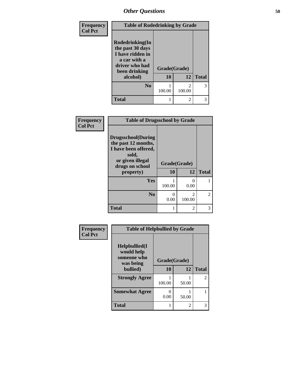| Frequency      | <b>Table of Rodedrinking by Grade</b>                                                                      |              |                                       |              |
|----------------|------------------------------------------------------------------------------------------------------------|--------------|---------------------------------------|--------------|
| <b>Col Pct</b> | Rodedrinking(In<br>the past 30 days<br>I have ridden in<br>a car with a<br>driver who had<br>been drinking | Grade(Grade) |                                       |              |
|                | alcohol)                                                                                                   | 10           | 12                                    | <b>Total</b> |
|                | $\bf No$                                                                                                   | 100.00       | $\mathcal{D}_{\mathcal{A}}$<br>100.00 | 3            |
|                | <b>Total</b>                                                                                               |              | $\mathfrak{D}$                        | 3            |

| Frequency      | <b>Table of Drugsschool by Grade</b>                                                                                                   |                    |                           |              |  |
|----------------|----------------------------------------------------------------------------------------------------------------------------------------|--------------------|---------------------------|--------------|--|
| <b>Col Pct</b> | <b>Drugsschool</b> (During<br>the past 12 months,<br>I have been offered,<br>sold,<br>or given illegal<br>drugs on school<br>property) | Grade(Grade)<br>10 | 12                        | <b>Total</b> |  |
|                |                                                                                                                                        |                    |                           |              |  |
|                | <b>Yes</b>                                                                                                                             | 100.00             | $\mathbf{\Omega}$<br>0.00 |              |  |
|                | N <sub>0</sub>                                                                                                                         | 0.00               | 2<br>100.00               | 2            |  |
|                | <b>Total</b>                                                                                                                           |                    | $\overline{c}$            | 3            |  |

| Frequency      | <b>Table of Helpbullied by Grade</b>                          |              |                |                             |
|----------------|---------------------------------------------------------------|--------------|----------------|-----------------------------|
| <b>Col Pct</b> | $Helpb$ ullied $(I$<br>would help<br>someone who<br>was being | Grade(Grade) |                |                             |
|                | bullied)                                                      | 10           | 12             | <b>Total</b>                |
|                | <b>Strongly Agree</b>                                         | 100.00       | 50.00          | $\mathcal{D}_{\mathcal{L}}$ |
|                | <b>Somewhat Agree</b>                                         | 0<br>0.00    | 50.00          |                             |
|                | <b>Total</b>                                                  |              | $\overline{2}$ | 3                           |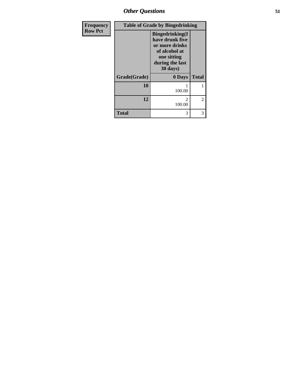*Other Questions* **51**

| <b>Frequency</b> | <b>Table of Grade by Bingedrinking</b> |                                                                                                                             |                |  |
|------------------|----------------------------------------|-----------------------------------------------------------------------------------------------------------------------------|----------------|--|
| <b>Row Pct</b>   |                                        | <b>Bingedrinking</b> (I<br>have drunk five<br>or more drinks<br>of alcohol at<br>one sitting<br>during the last<br>30 days) |                |  |
|                  | Grade(Grade)                           | 0 Days                                                                                                                      | <b>Total</b>   |  |
|                  | 10                                     | 100.00                                                                                                                      |                |  |
|                  | 12                                     | $\mathfrak{D}$<br>100.00                                                                                                    | $\overline{2}$ |  |
|                  | <b>Total</b>                           | 3                                                                                                                           | 3              |  |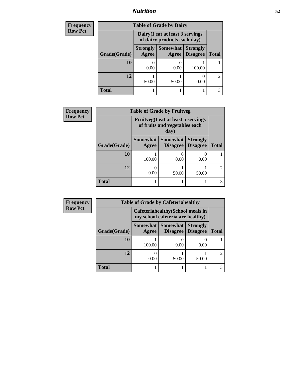### *Nutrition* **52**

| <b>Frequency</b> | <b>Table of Grade by Dairy</b> |                                                                 |                   |                                    |               |
|------------------|--------------------------------|-----------------------------------------------------------------|-------------------|------------------------------------|---------------|
| <b>Row Pct</b>   |                                | Dairy (I eat at least 3 servings<br>of dairy products each day) |                   |                                    |               |
|                  | Grade(Grade)                   | <b>Strongly</b><br>Agree                                        | Somewhat<br>Agree | <b>Strongly</b><br><b>Disagree</b> | <b>Total</b>  |
|                  | <b>10</b>                      | 0.00                                                            | 0.00              | 100.00                             |               |
|                  | 12                             | 50.00                                                           | 50.00             | 0.00                               | $\mathcal{D}$ |
|                  | Total                          |                                                                 |                   |                                    |               |

| <b>Frequency</b> | <b>Table of Grade by Fruitveg</b> |                                                                                     |                                    |                                    |                             |
|------------------|-----------------------------------|-------------------------------------------------------------------------------------|------------------------------------|------------------------------------|-----------------------------|
| <b>Row Pct</b>   |                                   | <b>Fruitveg</b> (I eat at least 5 servings<br>of fruits and vegetables each<br>day) |                                    |                                    |                             |
|                  | Grade(Grade)                      | <b>Somewhat</b><br>Agree                                                            | <b>Somewhat</b><br><b>Disagree</b> | <b>Strongly</b><br><b>Disagree</b> | <b>Total</b>                |
|                  | 10                                | 100.00                                                                              | 0.00                               | $\theta$<br>0.00                   |                             |
|                  | 12                                | 0.00                                                                                | 50.00                              | 50.00                              | $\mathcal{D}_{\mathcal{L}}$ |
|                  | <b>Total</b>                      |                                                                                     |                                    |                                    |                             |

| <b>Frequency</b> | <b>Table of Grade by Cafeteriahealthy</b> |                                                                       |                                        |                                    |                |
|------------------|-------------------------------------------|-----------------------------------------------------------------------|----------------------------------------|------------------------------------|----------------|
| <b>Row Pct</b>   |                                           | Cafeteriahealthy (School meals in<br>my school cafeteria are healthy) |                                        |                                    |                |
|                  | Grade(Grade)                              | Agree                                                                 | <b>Somewhat   Somewhat</b><br>Disagree | <b>Strongly</b><br><b>Disagree</b> | <b>Total</b>   |
|                  | 10                                        | 100.00                                                                | $\left( \right)$<br>0.00               | 0.00                               |                |
|                  | 12                                        | 0.00                                                                  | 50.00                                  | 50.00                              | $\mathfrak{D}$ |
|                  | <b>Total</b>                              |                                                                       |                                        |                                    |                |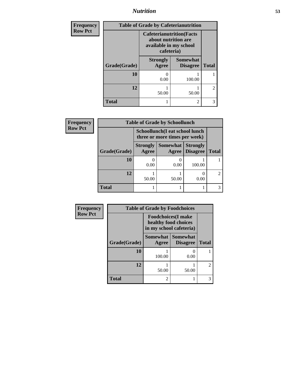# *Nutrition* **53**

| <b>Frequency</b> |              |                                                                                                 | <b>Table of Grade by Cafeterianutrition</b> |                |
|------------------|--------------|-------------------------------------------------------------------------------------------------|---------------------------------------------|----------------|
| <b>Row Pct</b>   |              | <b>Cafeterianutrition</b> (Facts<br>about nutrition are<br>available in my school<br>cafeteria) |                                             |                |
|                  | Grade(Grade) | <b>Strongly</b><br>Agree                                                                        | <b>Somewhat</b><br><b>Disagree</b>          | <b>Total</b>   |
|                  | 10           | O<br>0.00                                                                                       | 100.00                                      |                |
|                  | 12           | 50.00                                                                                           | 50.00                                       | $\mathfrak{D}$ |
|                  | <b>Total</b> | 1                                                                                               | $\mathfrak{D}$                              | 3              |

| <b>Frequency</b> | <b>Table of Grade by Schoollunch</b> |                                                                 |                          |                                    |              |
|------------------|--------------------------------------|-----------------------------------------------------------------|--------------------------|------------------------------------|--------------|
| <b>Row Pct</b>   |                                      | Schoollunch(I eat school lunch<br>three or more times per week) |                          |                                    |              |
|                  | Grade(Grade)                         | <b>Strongly</b><br>Agree                                        | <b>Somewhat</b><br>Agree | <b>Strongly</b><br><b>Disagree</b> | <b>Total</b> |
|                  | 10                                   | 0.00                                                            | 0<br>0.00                | 100.00                             |              |
|                  | 12                                   | 50.00                                                           | 50.00                    | 0.00                               | $2^{\circ}$  |
|                  | <b>Total</b>                         |                                                                 |                          |                                    | 3            |

| Frequency      |              | <b>Table of Grade by Foodchoices</b>                                          |                                    |                |  |
|----------------|--------------|-------------------------------------------------------------------------------|------------------------------------|----------------|--|
| <b>Row Pct</b> |              | <b>Foodchoices</b> (I make<br>healthy food choices<br>in my school cafeteria) |                                    |                |  |
|                | Grade(Grade) | <b>Somewhat</b><br>Agree                                                      | <b>Somewhat</b><br><b>Disagree</b> | <b>Total</b>   |  |
|                | 10           | 100.00                                                                        | 0.00                               |                |  |
|                | 12           | 50.00                                                                         | 50.00                              | $\overline{c}$ |  |
|                | <b>Total</b> | $\overline{c}$                                                                |                                    | 3              |  |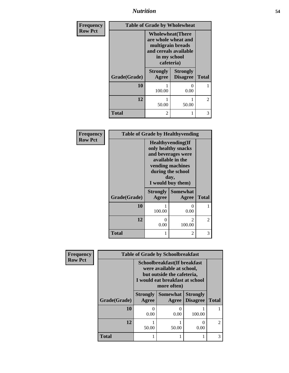*Nutrition* **54**

| <b>Frequency</b> | <b>Table of Grade by Wholewheat</b> |                                                                                                                             |                                    |                |
|------------------|-------------------------------------|-----------------------------------------------------------------------------------------------------------------------------|------------------------------------|----------------|
| <b>Row Pct</b>   |                                     | <b>Wholewheat</b> (There<br>are whole wheat and<br>multigrain breads<br>and cereals available<br>in my school<br>cafeteria) |                                    |                |
|                  | Grade(Grade)                        | <b>Strongly</b><br>Agree                                                                                                    | <b>Strongly</b><br><b>Disagree</b> | <b>Total</b>   |
|                  | 10                                  | 100.00                                                                                                                      | $\Omega$<br>0.00                   |                |
|                  | 12                                  | 50.00                                                                                                                       | 50.00                              | $\mathfrak{D}$ |
|                  | <b>Total</b>                        | 2                                                                                                                           |                                    | 3              |

| Frequency      | <b>Table of Grade by Healthyvending</b> |                                                                                                                                                                  |                   |              |
|----------------|-----------------------------------------|------------------------------------------------------------------------------------------------------------------------------------------------------------------|-------------------|--------------|
| <b>Row Pct</b> |                                         | <b>Healthyvending</b> (If<br>only healthy snacks<br>and beverages were<br>available in the<br>vending machines<br>during the school<br>day,<br>I would buy them) |                   |              |
|                | Grade(Grade)                            | <b>Strongly</b><br>Agree                                                                                                                                         | Somewhat<br>Agree | <b>Total</b> |
|                | 10                                      | 100.00                                                                                                                                                           | 0<br>0.00         |              |
|                | 12                                      | 0<br>0.00                                                                                                                                                        | 2<br>100.00       | 2            |
|                | <b>Total</b>                            | 1                                                                                                                                                                | 2                 | 3            |

| Frequency      |              |                                                                                                                                           | <b>Table of Grade by Schoolbreakfast</b> |                                    |               |
|----------------|--------------|-------------------------------------------------------------------------------------------------------------------------------------------|------------------------------------------|------------------------------------|---------------|
| <b>Row Pct</b> |              | Schoolbreakfast(If breakfast<br>were available at school,<br>but outside the cafeteria,<br>I would eat breakfast at school<br>more often) |                                          |                                    |               |
|                | Grade(Grade) | <b>Strongly</b><br>Agree                                                                                                                  | Somewhat<br>Agree                        | <b>Strongly</b><br><b>Disagree</b> | <b>Total</b>  |
|                | 10           | 0.00                                                                                                                                      | 0.00                                     | 100.00                             |               |
|                | 12           | 50.00                                                                                                                                     | 50.00                                    | 0.00                               | $\mathcal{L}$ |
|                | <b>Total</b> |                                                                                                                                           |                                          |                                    |               |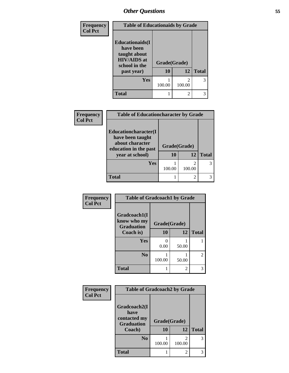| Frequency      | <b>Table of Educationaids by Grade</b>                                                                    |                    |                             |              |
|----------------|-----------------------------------------------------------------------------------------------------------|--------------------|-----------------------------|--------------|
| <b>Col Pct</b> | <b>Educationaids</b> (I<br>have been<br>taught about<br><b>HIV/AIDS</b> at<br>school in the<br>past year) | Grade(Grade)<br>10 | 12                          | <b>Total</b> |
|                | <b>Yes</b>                                                                                                | 100.00             | 100.00                      | 3            |
|                | <b>Total</b>                                                                                              |                    | $\mathcal{D}_{\mathcal{A}}$ | 3            |

| Frequency      | <b>Table of Educationcharacter by Grade</b> |              |  |
|----------------|---------------------------------------------|--------------|--|
| <b>Col Pct</b> |                                             |              |  |
|                | Educationcharacter(I                        |              |  |
|                | have been taught                            |              |  |
|                | about character<br>education in the past    | Grade(Grade) |  |

п ۰

| Educationcharacter(I<br>have been taught<br>about character<br>education in the past | Grade(Grade) |        |              |
|--------------------------------------------------------------------------------------|--------------|--------|--------------|
| year at school)                                                                      | 10           | 12     | <b>Total</b> |
| <b>Yes</b>                                                                           | 100.00       | 100.00 |              |
| Total                                                                                |              |        |              |

| Frequency      | <b>Table of Gradcoach1 by Grade</b> |              |                |              |
|----------------|-------------------------------------|--------------|----------------|--------------|
| <b>Col Pct</b> |                                     |              |                |              |
|                | Gradcoach1(I<br>know who my         |              |                |              |
|                | <b>Graduation</b>                   | Grade(Grade) |                |              |
|                | Coach is)                           | 10           | 12             | <b>Total</b> |
|                | Yes                                 | 0            |                |              |
|                |                                     | 0.00         | 50.00          |              |
|                | N <sub>0</sub>                      |              |                | 2            |
|                |                                     | 100.00       | 50.00          |              |
|                | <b>Total</b>                        | 1            | $\overline{2}$ | 3            |

| <b>Frequency</b> | <b>Table of Gradcoach2 by Grade</b>                                 |                    |             |              |
|------------------|---------------------------------------------------------------------|--------------------|-------------|--------------|
| <b>Col Pct</b>   | Gradcoach2(I<br>have<br>contacted my<br><b>Graduation</b><br>Coach) | Grade(Grade)<br>10 | 12          | <b>Total</b> |
|                  | N <sub>0</sub>                                                      | 100.00             | 2<br>100.00 | 3            |
|                  | <b>Total</b>                                                        |                    | 2           | 3            |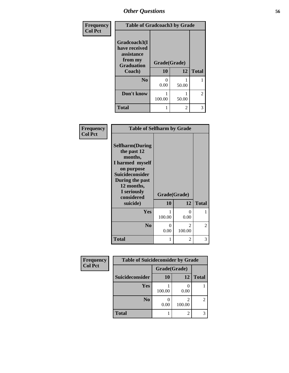| <b>Frequency</b> | <b>Table of Gradcoach3 by Grade</b>                                         |              |       |                |
|------------------|-----------------------------------------------------------------------------|--------------|-------|----------------|
| <b>Col Pct</b>   | Gradcoach3(I<br>have received<br>assistance<br>from my<br><b>Graduation</b> | Grade(Grade) |       |                |
|                  | Coach)                                                                      | 10           | 12    | <b>Total</b>   |
|                  | N <sub>0</sub>                                                              | 0<br>0.00    | 50.00 |                |
|                  | Don't know                                                                  | 100.00       | 50.00 | $\overline{2}$ |
|                  | <b>Total</b>                                                                |              | 2     | 3              |

| Frequency<br><b>Col Pct</b> | <b>Table of Selfharm by Grade</b>                                                                                                                                                      |                    |                                       |              |
|-----------------------------|----------------------------------------------------------------------------------------------------------------------------------------------------------------------------------------|--------------------|---------------------------------------|--------------|
|                             | <b>Selfharm</b> (During<br>the past 12<br>months,<br>I harmed myself<br>on purpose<br><b>Suicideconsider</b><br>During the past<br>12 months,<br>I seriously<br>considered<br>suicide) | Grade(Grade)<br>10 | 12                                    | <b>Total</b> |
|                             | <b>Yes</b>                                                                                                                                                                             | 1<br>100.00        | 0<br>0.00                             | 1            |
|                             | N <sub>0</sub>                                                                                                                                                                         | 0<br>0.00          | $\mathcal{D}_{\mathcal{L}}$<br>100.00 | 2            |
|                             | <b>Total</b>                                                                                                                                                                           | 1                  | 2                                     | 3            |

| <b>Frequency</b> | <b>Table of Suicideconsider by Grade</b> |              |                |              |
|------------------|------------------------------------------|--------------|----------------|--------------|
| <b>Col Pct</b>   |                                          | Grade(Grade) |                |              |
|                  | Suicideconsider                          | 10           | 12             | <b>Total</b> |
|                  | Yes                                      | 100.00       | 0.00           |              |
|                  | N <sub>0</sub>                           | 0.00         | 100.00         | 2            |
|                  | <b>Total</b>                             |              | $\mathfrak{D}$ | 3            |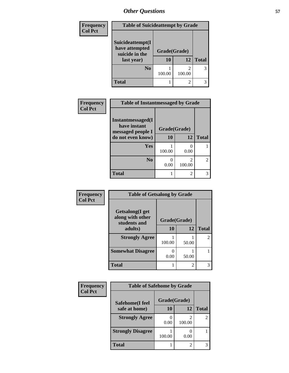| Frequency<br><b>Col Pct</b> | <b>Table of Suicideattempt by Grade</b>                            |                          |        |              |  |
|-----------------------------|--------------------------------------------------------------------|--------------------------|--------|--------------|--|
|                             | Suicideattempt(I<br>have attempted<br>suicide in the<br>last year) | Grade(Grade)<br>12<br>10 |        | <b>Total</b> |  |
|                             | N <sub>0</sub>                                                     | 100.00                   | 100.00 | 3            |  |
|                             | <b>Total</b>                                                       |                          |        |              |  |

| Frequency      | <b>Table of Instantmessaged by Grade</b> |              |                                       |                |  |
|----------------|------------------------------------------|--------------|---------------------------------------|----------------|--|
| <b>Col Pct</b> | Instantmessaged(I<br>have instant        | Grade(Grade) |                                       |                |  |
|                | messaged people I<br>do not even know)   | 10           | 12                                    | <b>Total</b>   |  |
|                | <b>Yes</b>                               | 100.00       | $\mathbf{\Omega}$<br>0.00             |                |  |
|                | N <sub>0</sub>                           | 0.00         | $\mathcal{D}_{\mathcal{L}}$<br>100.00 | $\mathfrak{D}$ |  |
|                | <b>Total</b>                             |              | 2                                     | 3              |  |

| Frequency      | <b>Table of Getsalong by Grade</b>                          |              |                |                |
|----------------|-------------------------------------------------------------|--------------|----------------|----------------|
| <b>Col Pct</b> | <b>Getsalong</b> (I get<br>along with other<br>students and | Grade(Grade) |                |                |
|                | adults)                                                     | 10           | 12             | <b>Total</b>   |
|                | <b>Strongly Agree</b>                                       | 100.00       | 50.00          | $\mathfrak{D}$ |
|                | <b>Somewhat Disagree</b>                                    | 0<br>0.00    | 50.00          |                |
|                | <b>Total</b>                                                |              | $\mathfrak{D}$ | 3              |

| Frequency      | <b>Table of Safehome by Grade</b> |              |        |                |
|----------------|-----------------------------------|--------------|--------|----------------|
| <b>Col Pct</b> | Safehome(I feel                   | Grade(Grade) |        |                |
|                | safe at home)                     | 10           | 12     | <b>Total</b>   |
|                | <b>Strongly Agree</b>             | 0.00         | 100.00 | $\overline{2}$ |
|                | <b>Strongly Disagree</b>          | 100.00       | 0.00   |                |
|                | <b>Total</b>                      |              | 2      | 3              |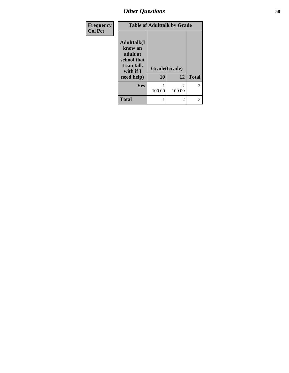| Frequency      | <b>Table of Adulttalk by Grade</b>                                                   |              |                |              |  |
|----------------|--------------------------------------------------------------------------------------|--------------|----------------|--------------|--|
| <b>Col Pct</b> | <b>Adulttalk</b> (I<br>know an<br>adult at<br>school that<br>I can talk<br>with if I | Grade(Grade) |                |              |  |
|                | need help)                                                                           | 10           | 12             | <b>Total</b> |  |
|                | Yes                                                                                  | 100.00       | 2<br>100.00    | 3            |  |
|                | <b>Total</b>                                                                         |              | $\overline{2}$ | 3            |  |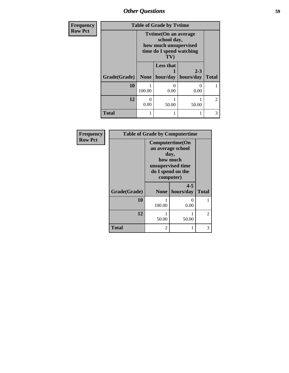| Frequency      | <b>Table of Grade by Tytime</b> |                                                                                                            |                  |                                        |                |
|----------------|---------------------------------|------------------------------------------------------------------------------------------------------------|------------------|----------------------------------------|----------------|
| <b>Row Pct</b> |                                 | <b>Tytime(On an average)</b><br>school day,<br>how much unsupervised<br>time do I spend watching<br>$T$ V) |                  |                                        |                |
|                | Grade(Grade)                    |                                                                                                            | <b>Less that</b> | $2 - 3$<br>None   hour/day   hours/day | <b>Total</b>   |
|                | 10                              | 100.00                                                                                                     | 0.00             | $\Omega$<br>0.00                       |                |
|                | 12                              | 0.00                                                                                                       | 50.00            | 50.00                                  | $\mathfrak{D}$ |
|                | <b>Total</b>                    |                                                                                                            |                  |                                        | 3              |

| Frequency<br><b>Row Pct</b> | <b>Table of Grade by Computertime</b> |                                                                                                                 |                      |                |
|-----------------------------|---------------------------------------|-----------------------------------------------------------------------------------------------------------------|----------------------|----------------|
|                             |                                       | Computertime(On<br>an average school<br>day,<br>how much<br>unsupervised time<br>do I spend on the<br>computer) |                      |                |
|                             | Grade(Grade)                          | <b>None</b>                                                                                                     | $4 - 5$<br>hours/day | <b>Total</b>   |
|                             | 10                                    | 100.00                                                                                                          | $\Omega$<br>0.00     |                |
|                             | 12                                    | 50.00                                                                                                           | 50.00                | $\overline{2}$ |
|                             | <b>Total</b>                          | 2                                                                                                               |                      | 3              |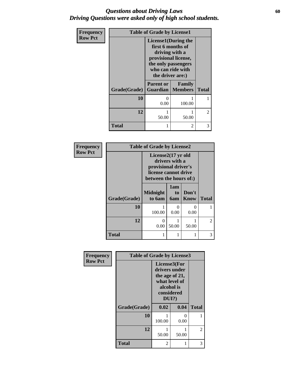### *Questions about Driving Laws* **60** *Driving Questions were asked only of high school students.*

| Frequency<br><b>Row Pct</b> | <b>Table of Grade by License1</b> |                                                                                                                                                            |        |                |  |
|-----------------------------|-----------------------------------|------------------------------------------------------------------------------------------------------------------------------------------------------------|--------|----------------|--|
|                             |                                   | <b>License1</b> (During the<br>first 6 months of<br>driving with a<br>provisional license,<br>the only passengers<br>who can ride with<br>the driver are:) |        |                |  |
|                             | Grade(Grade)                      | <b>Parent or</b><br><b>Guardian</b>   Members                                                                                                              | Family | <b>Total</b>   |  |
|                             | 10                                | $\Omega$<br>0.00                                                                                                                                           | 100.00 |                |  |
|                             | 12                                | 50.00                                                                                                                                                      | 50.00  | $\overline{c}$ |  |
|                             | Total                             |                                                                                                                                                            | 2      | 3              |  |

| Frequency<br><b>Row Pct</b> |              | <b>Table of Grade by License2</b><br>License2(17 yr old<br>drivers with a<br>provisional driver's<br>license cannot drive<br>between the hours of:) |                         |                      |                |
|-----------------------------|--------------|-----------------------------------------------------------------------------------------------------------------------------------------------------|-------------------------|----------------------|----------------|
|                             | Grade(Grade) | <b>Midnight</b><br>to 6am                                                                                                                           | 1am<br>to<br><b>6am</b> | Don't<br>Know        | <b>Total</b>   |
|                             | 10           | 100.00                                                                                                                                              | 0<br>0.00               | $\mathbf{0}$<br>0.00 |                |
|                             | 12           | $\Omega$<br>0.00                                                                                                                                    | 50.00                   | 50.00                | $\overline{2}$ |
|                             | <b>Total</b> | 1                                                                                                                                                   |                         |                      | 3              |

| <b>Frequency</b> | <b>Table of Grade by License3</b> |                                                                                                          |           |                |
|------------------|-----------------------------------|----------------------------------------------------------------------------------------------------------|-----------|----------------|
| <b>Row Pct</b>   |                                   | License3(For<br>drivers under<br>the age of 21,<br>what level of<br>alcohol is<br>considered<br>$DUI$ ?) |           |                |
|                  | Grade(Grade)                      | 0.02                                                                                                     | 0.04      | <b>Total</b>   |
|                  | 10                                | 100.00                                                                                                   | 0<br>0.00 | 1              |
|                  | 12                                | 50.00                                                                                                    | 50.00     | $\mathfrak{D}$ |
|                  | <b>Total</b>                      | 2                                                                                                        | 1         | 3              |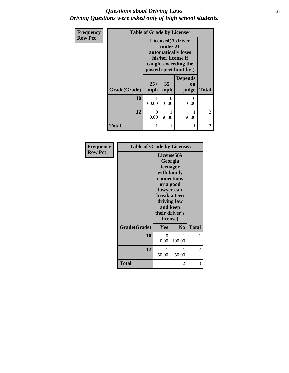### *Questions about Driving Laws* **61** *Driving Questions were asked only of high school students.*

| Frequency      | <b>Table of Grade by License4</b> |                                                                                                                               |                           |                                      |                |
|----------------|-----------------------------------|-------------------------------------------------------------------------------------------------------------------------------|---------------------------|--------------------------------------|----------------|
| <b>Row Pct</b> |                                   | License4(A driver<br>under 21<br>automatically loses<br>his/her license if<br>caught exceeding the<br>posted speet limit by:) |                           |                                      |                |
|                | Grade(Grade)                      | $25+$<br>mph                                                                                                                  | $35+$<br>mph              | <b>Depends</b><br><b>on</b><br>judge | <b>Total</b>   |
|                | 10                                | 100.00                                                                                                                        | $\mathbf{\Omega}$<br>0.00 | $\Omega$<br>0.00                     |                |
|                | 12                                | 0<br>0.00                                                                                                                     | 50.00                     | 50.00                                | $\overline{2}$ |
|                | Total                             |                                                                                                                               |                           | 1                                    | 3              |

| <b>Frequency</b> | <b>Table of Grade by License5</b> |                                                         |                                                                                               |              |
|------------------|-----------------------------------|---------------------------------------------------------|-----------------------------------------------------------------------------------------------|--------------|
| <b>Row Pct</b>   |                                   | License5(A)<br>lawyer can<br>and keep<br>their driver's | Georgia<br>teenager<br>with family<br>connections<br>or a good<br>break a teen<br>driving law |              |
|                  | Grade(Grade)                      | license)<br>Yes                                         | $\bf No$                                                                                      | <b>Total</b> |
|                  |                                   |                                                         |                                                                                               |              |
|                  | 10                                | 0<br>0.00                                               | 1<br>100.00                                                                                   | 1            |
|                  | 12                                | 1<br>50.00                                              | 1<br>50.00                                                                                    | 2            |
|                  | <b>Total</b>                      | 1                                                       | 2                                                                                             | 3            |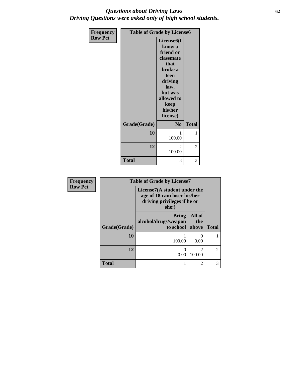### *Questions about Driving Laws* **62** *Driving Questions were asked only of high school students.*

| Frequency      | <b>Table of Grade by License6</b> |                                                                                                                                                                   |              |
|----------------|-----------------------------------|-------------------------------------------------------------------------------------------------------------------------------------------------------------------|--------------|
| <b>Row Pct</b> |                                   | License <sub>6</sub> (I<br>know a<br>friend or<br>classmate<br>that<br>broke a<br>teen<br>driving<br>law,<br>but was<br>allowed to<br>keep<br>his/her<br>license) |              |
|                | Grade(Grade)                      | N <sub>0</sub>                                                                                                                                                    | <b>Total</b> |
|                | 10                                | 100.00                                                                                                                                                            | 1            |
|                | 12                                | $\mathfrak{D}$<br>100.00                                                                                                                                          | 2            |
|                | <b>Total</b>                      | 3                                                                                                                                                                 | 3            |

| Frequency      | <b>Table of Grade by License7</b> |                                                                                                     |                                       |                |
|----------------|-----------------------------------|-----------------------------------------------------------------------------------------------------|---------------------------------------|----------------|
| <b>Row Pct</b> |                                   | License7(A student under the<br>age of 18 cam loser his/her<br>driving privileges if he or<br>she:) |                                       |                |
|                | Grade(Grade)                      | <b>Bring</b><br>alcohol/drugs/weapon<br>to school                                                   | All of<br>the<br>above                | <b>Total</b>   |
|                | 10                                | 100.00                                                                                              | 0<br>0.00                             |                |
|                | 12                                | 0<br>0.00                                                                                           | $\mathcal{D}_{\mathcal{L}}$<br>100.00 | $\overline{2}$ |
|                | <b>Total</b>                      |                                                                                                     | $\mathfrak{D}$                        | 3              |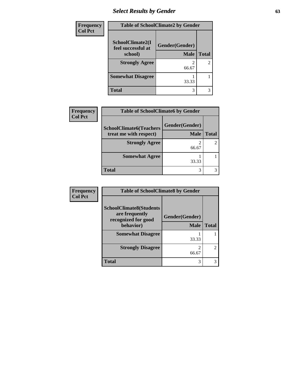# *Select Results by Gender* **63**

| Frequency      | <b>Table of SchoolClimate2 by Gender</b> |                |                |
|----------------|------------------------------------------|----------------|----------------|
| <b>Col Pct</b> | SchoolClimate2(I<br>feel successful at   | Gender(Gender) |                |
|                | school)                                  | <b>Male</b>    | <b>Total</b>   |
|                | <b>Strongly Agree</b>                    |                | $\overline{c}$ |
|                |                                          | 66.67          |                |
|                | <b>Somewhat Disagree</b>                 |                |                |
|                |                                          | 33.33          |                |
|                | <b>Total</b>                             | 3              | 3              |

| Frequency      | <b>Table of SchoolClimate6 by Gender</b>                 |                               |                |  |
|----------------|----------------------------------------------------------|-------------------------------|----------------|--|
| <b>Col Pct</b> | <b>SchoolClimate6(Teachers</b><br>treat me with respect) | Gender(Gender)<br><b>Male</b> | <b>Total</b>   |  |
|                | <b>Strongly Agree</b>                                    | 66.67                         | $\overline{2}$ |  |
|                | <b>Somewhat Agree</b>                                    | 33.33                         |                |  |
|                | <b>Total</b>                                             | 3                             |                |  |

| Frequency      | <b>Table of SchoolClimate8 by Gender</b>                                |                |               |  |
|----------------|-------------------------------------------------------------------------|----------------|---------------|--|
| <b>Col Pct</b> | <b>SchoolClimate8(Students</b><br>are frequently<br>recognized for good | Gender(Gender) |               |  |
|                | behavior)                                                               | <b>Male</b>    | <b>Total</b>  |  |
|                | <b>Somewhat Disagree</b>                                                | 33.33          |               |  |
|                | <b>Strongly Disagree</b>                                                | 66.67          | $\mathcal{L}$ |  |
|                | <b>Total</b>                                                            | 3              |               |  |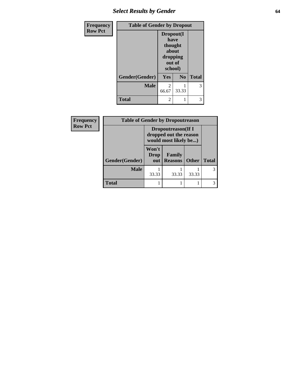# *Select Results by Gender* **64**

| Frequency      | <b>Table of Gender by Dropout</b> |                                                                        |                |              |
|----------------|-----------------------------------|------------------------------------------------------------------------|----------------|--------------|
| <b>Row Pct</b> |                                   | Dropout(I<br>have<br>thought<br>about<br>dropping<br>out of<br>school) |                |              |
|                | Gender(Gender)                    | Yes                                                                    | N <sub>0</sub> | <b>Total</b> |
|                | <b>Male</b>                       | 2<br>66.67                                                             | 33.33          | 3            |
|                | <b>Total</b>                      | 2                                                                      |                |              |

| <b>Frequency</b> | <b>Table of Gender by Dropoutreason</b>                                       |                             |                          |              |              |
|------------------|-------------------------------------------------------------------------------|-----------------------------|--------------------------|--------------|--------------|
| <b>Row Pct</b>   | <b>Dropoutreason</b> (If I<br>dropped out the reason<br>would most likely be) |                             |                          |              |              |
|                  | Gender(Gender)                                                                | Won't<br><b>Drop</b><br>out | Family<br><b>Reasons</b> | <b>Other</b> | <b>Total</b> |
|                  | <b>Male</b>                                                                   | 33.33                       | 33.33                    | 33.33        |              |
|                  | <b>Total</b>                                                                  |                             |                          |              |              |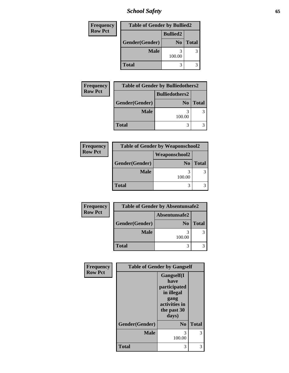*School Safety* **65**

| <b>Frequency</b> | <b>Table of Gender by Bullied2</b> |                 |              |
|------------------|------------------------------------|-----------------|--------------|
| <b>Row Pct</b>   |                                    | <b>Bullied2</b> |              |
|                  | Gender(Gender)                     | N <sub>0</sub>  | <b>Total</b> |
|                  | <b>Male</b>                        | 100.00          |              |
|                  | <b>Total</b>                       | 3               |              |

| <b>Frequency</b> |                | <b>Table of Gender by Bulliedothers2</b> |              |
|------------------|----------------|------------------------------------------|--------------|
| <b>Row Pct</b>   |                | <b>Bulliedothers2</b>                    |              |
|                  | Gender(Gender) | N <sub>0</sub>                           | <b>Total</b> |
|                  | <b>Male</b>    | 100.00                                   |              |
|                  | <b>Total</b>   |                                          |              |

| Frequency      |                | <b>Table of Gender by Weaponschool2</b> |              |
|----------------|----------------|-----------------------------------------|--------------|
| <b>Row Pct</b> |                |                                         |              |
|                | Gender(Gender) | N <sub>0</sub>                          | <b>Total</b> |
|                | <b>Male</b>    | 100.00                                  |              |
|                | <b>Total</b>   |                                         |              |

| Frequency      | <b>Table of Gender by Absentunsafe2</b> |        |              |  |
|----------------|-----------------------------------------|--------|--------------|--|
| <b>Row Pct</b> | Absentunsafe2                           |        |              |  |
|                | Gender(Gender)                          | No     | <b>Total</b> |  |
|                | <b>Male</b>                             | 100.00 |              |  |
|                | <b>Total</b>                            |        |              |  |

| Frequency      |                | <b>Table of Gender by Gangself</b>                                                                |              |
|----------------|----------------|---------------------------------------------------------------------------------------------------|--------------|
| <b>Row Pct</b> |                | Gangself(I<br>have<br>participated<br>in illegal<br>gang<br>activities in<br>the past 30<br>days) |              |
|                | Gender(Gender) | N <sub>0</sub>                                                                                    | <b>Total</b> |
|                | <b>Male</b>    | 3<br>100.00                                                                                       | 3            |
|                | <b>Total</b>   | 3                                                                                                 | 3            |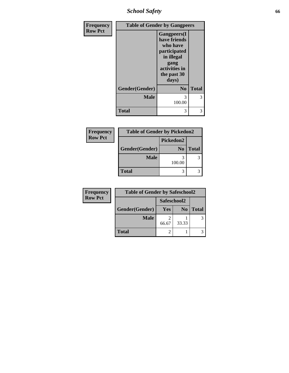*School Safety* **66**

| Frequency      | <b>Table of Gender by Gangpeers</b> |                                                                                                                                |              |
|----------------|-------------------------------------|--------------------------------------------------------------------------------------------------------------------------------|--------------|
| <b>Row Pct</b> |                                     | <b>Gangpeers</b> (I<br>have friends<br>who have<br>participated<br>in illegal<br>gang<br>activities in<br>the past 30<br>days) |              |
|                | Gender(Gender)                      | N <sub>0</sub>                                                                                                                 | <b>Total</b> |
|                | <b>Male</b>                         | 3<br>100.00                                                                                                                    | 3            |
|                | <b>Total</b>                        | 3                                                                                                                              | 3            |

| <b>Frequency</b> | <b>Table of Gender by Pickedon2</b> |                |              |  |  |
|------------------|-------------------------------------|----------------|--------------|--|--|
| <b>Row Pct</b>   | Pickedon2                           |                |              |  |  |
|                  | Gender(Gender)                      | N <sub>0</sub> | <b>Total</b> |  |  |
|                  | <b>Male</b>                         | 100.00         | 3            |  |  |
|                  | <b>Total</b>                        | 3              |              |  |  |
|                  |                                     |                |              |  |  |

| Frequency      | <b>Table of Gender by Safeschool2</b> |            |                |              |  |
|----------------|---------------------------------------|------------|----------------|--------------|--|
| <b>Row Pct</b> | Safeschool2                           |            |                |              |  |
|                | Gender(Gender)                        | <b>Yes</b> | N <sub>0</sub> | <b>Total</b> |  |
|                | <b>Male</b>                           | 66.67      | 33.33          |              |  |
|                | <b>Total</b>                          |            |                |              |  |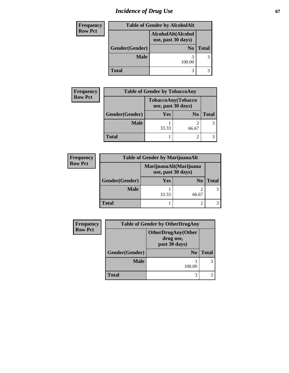# *Incidence of Drug Use* 67

| <b>Frequency</b> | <b>Table of Gender by AlcoholAlt</b> |                                          |              |  |
|------------------|--------------------------------------|------------------------------------------|--------------|--|
| <b>Row Pct</b>   |                                      | AlcoholAlt(Alcohol<br>use, past 30 days) |              |  |
|                  | Gender(Gender)<br>N <sub>0</sub>     |                                          | <b>Total</b> |  |
|                  | <b>Male</b>                          | 100.00                                   | 3            |  |
|                  | <b>Total</b>                         |                                          |              |  |

| Frequency      | <b>Table of Gender by TobaccoAny</b> |                                          |                |              |
|----------------|--------------------------------------|------------------------------------------|----------------|--------------|
| <b>Row Pct</b> |                                      | TobaccoAny(Tobacco<br>use, past 30 days) |                |              |
|                | Gender(Gender)                       | <b>Yes</b>                               | N <sub>0</sub> | <b>Total</b> |
|                | <b>Male</b>                          | 33.33                                    | 66.67          |              |
|                | <b>Total</b>                         |                                          | ി              |              |

| <b>Frequency</b> | <b>Table of Gender by MarijuanaAlt</b>       |            |       |              |
|------------------|----------------------------------------------|------------|-------|--------------|
| <b>Row Pct</b>   | MarijuanaAlt(Marijuana<br>use, past 30 days) |            |       |              |
|                  | Gender(Gender)                               | <b>Yes</b> | No    | <b>Total</b> |
|                  | <b>Male</b>                                  | 33.33      | 66.67 | 3            |
|                  | <b>Total</b>                                 |            |       |              |

| <b>Frequency</b> | <b>Table of Gender by OtherDrugAny</b> |                                                         |              |
|------------------|----------------------------------------|---------------------------------------------------------|--------------|
| <b>Row Pct</b>   |                                        | <b>OtherDrugAny(Other</b><br>drug use,<br>past 30 days) |              |
|                  | Gender(Gender)                         | N <sub>0</sub>                                          | <b>Total</b> |
|                  | Male                                   | 3<br>100.00                                             | 3            |
|                  | <b>Total</b>                           | 3                                                       |              |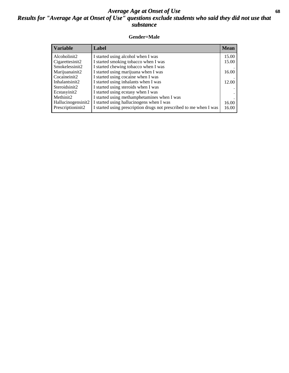### *Average Age at Onset of Use* **68** *Results for "Average Age at Onset of Use" questions exclude students who said they did not use that substance*

### **Gender=Male**

| <b>Variable</b>                 | Label                                                              | <b>Mean</b> |
|---------------------------------|--------------------------------------------------------------------|-------------|
| Alcoholinit2                    | I started using alcohol when I was                                 | 15.00       |
| Cigarettesinit2                 | I started smoking tobacco when I was                               | 15.00       |
| Smokelessinit2                  | I started chewing tobacco when I was                               |             |
| Marijuanainit2                  | I started using marijuana when I was                               | 16.00       |
| Cocaineinit2                    | I started using cocaine when I was                                 |             |
| Inhalantsinit2                  | I started using inhalants when I was                               | 12.00       |
| Steroidsinit2                   | I started using steroids when I was                                |             |
| Ecstasyinit2                    | I started using ecstasy when I was                                 |             |
| Methinit2                       | I started using methamphetamines when I was                        |             |
| Hallucinogensinit2              | I started using hallucinogens when I was                           | 16.00       |
| Prescription in it <sub>2</sub> | I started using prescription drugs not prescribed to me when I was | 16.00       |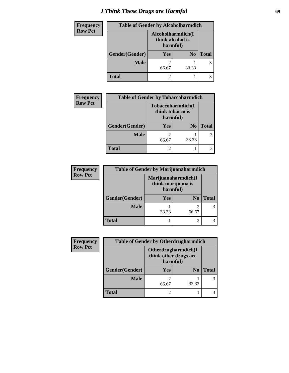# *I Think These Drugs are Harmful* **69**

| <b>Frequency</b> | <b>Table of Gender by Alcoholharmdich</b> |                                                   |                |              |
|------------------|-------------------------------------------|---------------------------------------------------|----------------|--------------|
| <b>Row Pct</b>   |                                           | Alcoholharmdich(I<br>think alcohol is<br>harmful) |                |              |
|                  | Gender(Gender)                            | <b>Yes</b>                                        | N <sub>0</sub> | <b>Total</b> |
|                  | <b>Male</b>                               | 66.67                                             | 33.33          | 3            |
|                  | <b>Total</b>                              | ി                                                 |                |              |

| <b>Frequency</b> | <b>Table of Gender by Tobaccoharmdich</b>         |       |                |              |
|------------------|---------------------------------------------------|-------|----------------|--------------|
| <b>Row Pct</b>   | Tobaccoharmdich(I<br>think tobacco is<br>harmful) |       |                |              |
|                  | Gender(Gender)                                    | Yes   | N <sub>0</sub> | <b>Total</b> |
|                  | <b>Male</b>                                       | 66.67 | 33.33          |              |
|                  | <b>Total</b>                                      |       |                |              |

| Frequency      | <b>Table of Gender by Marijuanaharmdich</b> |                                                       |                |               |
|----------------|---------------------------------------------|-------------------------------------------------------|----------------|---------------|
| <b>Row Pct</b> |                                             | Marijuanaharmdich(I<br>think marijuana is<br>harmful) |                |               |
|                | Gender(Gender)                              | <b>Yes</b>                                            | N <sub>0</sub> | <b>Total</b>  |
|                | <b>Male</b>                                 | 33.33                                                 | 66.67          | $\mathcal{F}$ |
|                | <b>Total</b>                                |                                                       |                |               |

| <b>Frequency</b> | <b>Table of Gender by Otherdrugharmdich</b> |                                                          |                |              |
|------------------|---------------------------------------------|----------------------------------------------------------|----------------|--------------|
| <b>Row Pct</b>   |                                             | Otherdrugharmdich(I<br>think other drugs are<br>harmful) |                |              |
|                  | Gender(Gender)                              | Yes                                                      | N <sub>0</sub> | <b>Total</b> |
|                  | Male                                        | 66.67                                                    | 33.33          |              |
|                  | <b>Total</b>                                | 2                                                        |                |              |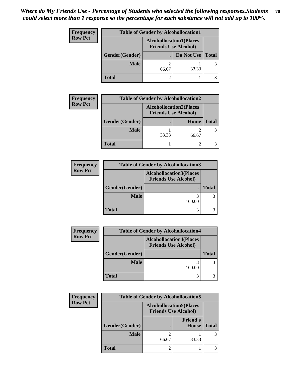| <b>Frequency</b> |                | <b>Table of Gender by Alcohollocation1</b>                    |            |              |
|------------------|----------------|---------------------------------------------------------------|------------|--------------|
| <b>Row Pct</b>   |                | <b>Alcohollocation1(Places</b><br><b>Friends Use Alcohol)</b> |            |              |
|                  | Gender(Gender) |                                                               | Do Not Use | <b>Total</b> |
|                  | <b>Male</b>    | 66.67                                                         | 33.33      | 3            |
|                  | <b>Total</b>   |                                                               |            |              |

| <b>Frequency</b> |                | <b>Table of Gender by Alcohollocation2</b>                    |       |              |
|------------------|----------------|---------------------------------------------------------------|-------|--------------|
| <b>Row Pct</b>   |                | <b>Alcohollocation2(Places</b><br><b>Friends Use Alcohol)</b> |       |              |
|                  | Gender(Gender) |                                                               | Home  | <b>Total</b> |
|                  | <b>Male</b>    | 33.33                                                         | 66.67 |              |
|                  | <b>Total</b>   |                                                               |       |              |

| <b>Frequency</b> | <b>Table of Gender by Alcohollocation3</b> |                                                               |              |
|------------------|--------------------------------------------|---------------------------------------------------------------|--------------|
| <b>Row Pct</b>   |                                            | <b>Alcohollocation3(Places</b><br><b>Friends Use Alcohol)</b> |              |
|                  | Gender(Gender)                             |                                                               | <b>Total</b> |
|                  | <b>Male</b>                                | 100.00                                                        | 3            |
|                  | <b>Total</b>                               |                                                               |              |

| <b>Frequency</b> |                | <b>Table of Gender by Alcohollocation4</b>                    |              |
|------------------|----------------|---------------------------------------------------------------|--------------|
| <b>Row Pct</b>   |                | <b>Alcohollocation4(Places</b><br><b>Friends Use Alcohol)</b> |              |
|                  | Gender(Gender) |                                                               | <b>Total</b> |
|                  | <b>Male</b>    | 100.00                                                        |              |
|                  | <b>Total</b>   |                                                               |              |

| <b>Frequency</b> | <b>Table of Gender by Alcohollocation5</b> |                             |                                 |              |
|------------------|--------------------------------------------|-----------------------------|---------------------------------|--------------|
| <b>Row Pct</b>   |                                            | <b>Friends Use Alcohol)</b> | <b>Alcohollocation5</b> (Places |              |
|                  | Gender(Gender)                             |                             | <b>Friend's</b><br>House        | <b>Total</b> |
|                  | <b>Male</b>                                | 66.67                       | 33.33                           |              |
|                  | <b>Total</b>                               | 2                           |                                 |              |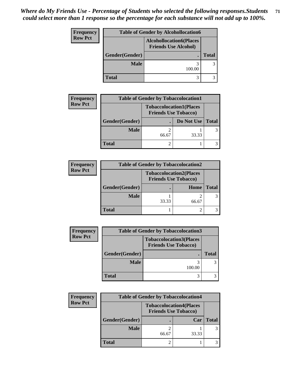| Frequency      |                                                               | <b>Table of Gender by Alcohollocation6</b> |              |
|----------------|---------------------------------------------------------------|--------------------------------------------|--------------|
| <b>Row Pct</b> | <b>Alcohollocation6(Places</b><br><b>Friends Use Alcohol)</b> |                                            |              |
|                | Gender(Gender)                                                |                                            | <b>Total</b> |
|                | <b>Male</b>                                                   | 100.00                                     | 3            |
|                | <b>Total</b>                                                  | 3                                          |              |

| <b>Frequency</b> | <b>Table of Gender by Tobaccolocation1</b> |                                                               |            |              |
|------------------|--------------------------------------------|---------------------------------------------------------------|------------|--------------|
| <b>Row Pct</b>   |                                            | <b>Tobaccolocation1(Places</b><br><b>Friends Use Tobacco)</b> |            |              |
|                  | Gender(Gender)                             |                                                               | Do Not Use | <b>Total</b> |
|                  | <b>Male</b>                                | 66.67                                                         | 33.33      |              |
|                  | Total                                      |                                                               |            |              |

| <b>Frequency</b> |                | <b>Table of Gender by Tobaccolocation2</b> |                                |              |
|------------------|----------------|--------------------------------------------|--------------------------------|--------------|
| <b>Row Pct</b>   |                | <b>Friends Use Tobacco)</b>                | <b>Tobaccolocation2(Places</b> |              |
|                  | Gender(Gender) |                                            | Home                           | <b>Total</b> |
|                  | <b>Male</b>    | 33.33                                      | 66.67                          |              |
|                  | <b>Total</b>   |                                            |                                |              |

| <b>Frequency</b> |                | <b>Table of Gender by Tobaccolocation3</b>                    |              |
|------------------|----------------|---------------------------------------------------------------|--------------|
| <b>Row Pct</b>   |                | <b>Tobaccolocation3(Places</b><br><b>Friends Use Tobacco)</b> |              |
|                  | Gender(Gender) |                                                               | <b>Total</b> |
|                  | <b>Male</b>    | 100.00                                                        |              |
|                  | <b>Total</b>   | 3                                                             |              |

| Frequency      | <b>Table of Gender by Tobaccolocation4</b> |                                                               |       |              |
|----------------|--------------------------------------------|---------------------------------------------------------------|-------|--------------|
| <b>Row Pct</b> |                                            | <b>Tobaccolocation4(Places</b><br><b>Friends Use Tobacco)</b> |       |              |
|                | Gender(Gender)                             |                                                               | Car   | <b>Total</b> |
|                | <b>Male</b>                                | 66.67                                                         | 33.33 | 3            |
|                | <b>Total</b>                               |                                                               |       |              |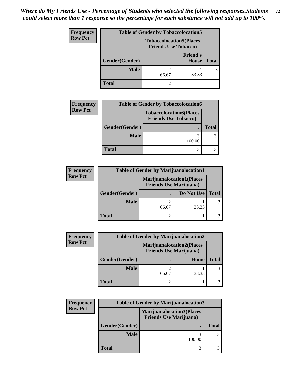| <b>Frequency</b> | <b>Table of Gender by Tobaccolocation5</b>                    |       |                                 |              |
|------------------|---------------------------------------------------------------|-------|---------------------------------|--------------|
| <b>Row Pct</b>   | <b>Tobaccolocation5(Places</b><br><b>Friends Use Tobacco)</b> |       |                                 |              |
|                  | Gender(Gender)                                                |       | <b>Friend's</b><br><b>House</b> | <b>Total</b> |
|                  | <b>Male</b>                                                   | 66.67 | 33.33                           |              |
|                  | <b>Total</b>                                                  |       |                                 |              |

| <b>Frequency</b> | <b>Table of Gender by Tobaccolocation6</b> |                                                               |              |
|------------------|--------------------------------------------|---------------------------------------------------------------|--------------|
| <b>Row Pct</b>   |                                            | <b>Tobaccolocation6(Places</b><br><b>Friends Use Tobacco)</b> |              |
|                  | Gender(Gender)                             |                                                               | <b>Total</b> |
|                  | <b>Male</b>                                | 100.00                                                        |              |
|                  | <b>Total</b>                               |                                                               |              |

| <b>Frequency</b> | <b>Table of Gender by Marijuanalocation1</b> |                                                                    |            |       |  |
|------------------|----------------------------------------------|--------------------------------------------------------------------|------------|-------|--|
| <b>Row Pct</b>   |                                              | <b>Marijuanalocation1(Places</b><br><b>Friends Use Marijuana</b> ) |            |       |  |
|                  | Gender(Gender)                               |                                                                    | Do Not Use | Total |  |
|                  | <b>Male</b>                                  | 66.67                                                              | 33.33      |       |  |
|                  | <b>Total</b>                                 |                                                                    |            |       |  |

| <b>Frequency</b> | <b>Table of Gender by Marijuanalocation2</b> |                                                                    |       |              |
|------------------|----------------------------------------------|--------------------------------------------------------------------|-------|--------------|
| <b>Row Pct</b>   |                                              | <b>Marijuanalocation2(Places</b><br><b>Friends Use Marijuana</b> ) |       |              |
|                  | Gender(Gender)                               |                                                                    | Home  | <b>Total</b> |
|                  | <b>Male</b>                                  | 66.67                                                              | 33.33 |              |
|                  | <b>Total</b>                                 |                                                                    |       |              |

| <b>Frequency</b> | <b>Table of Gender by Marijuanalocation3</b> |                                                                    |              |  |
|------------------|----------------------------------------------|--------------------------------------------------------------------|--------------|--|
| <b>Row Pct</b>   |                                              | <b>Marijuanalocation3(Places</b><br><b>Friends Use Marijuana</b> ) |              |  |
|                  | Gender(Gender)                               |                                                                    | <b>Total</b> |  |
|                  | <b>Male</b>                                  | 100.00                                                             |              |  |
|                  | <b>Total</b>                                 |                                                                    |              |  |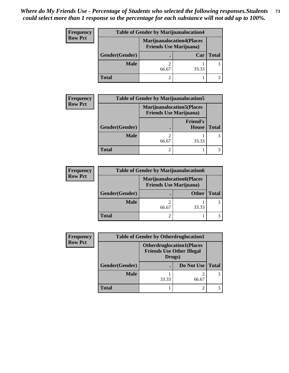| <b>Frequency</b> |                | <b>Table of Gender by Marijuanalocation4</b> |                                  |              |  |
|------------------|----------------|----------------------------------------------|----------------------------------|--------------|--|
| <b>Row Pct</b>   |                | <b>Friends Use Marijuana</b> )               | <b>Marijuanalocation4(Places</b> |              |  |
|                  | Gender(Gender) |                                              | Car                              | <b>Total</b> |  |
|                  | <b>Male</b>    | 66.67                                        | 33.33                            | 3            |  |
|                  | <b>Total</b>   |                                              |                                  |              |  |

| <b>Frequency</b> |                                                                     | <b>Table of Gender by Marijuanalocation5</b> |                          |              |  |
|------------------|---------------------------------------------------------------------|----------------------------------------------|--------------------------|--------------|--|
| <b>Row Pct</b>   | <b>Marijuanalocation5</b> (Places<br><b>Friends Use Marijuana</b> ) |                                              |                          |              |  |
|                  | Gender(Gender)                                                      |                                              | <b>Friend's</b><br>House | <b>Total</b> |  |
|                  | <b>Male</b>                                                         | 66.67                                        | 33.33                    |              |  |
|                  | <b>Total</b>                                                        |                                              |                          |              |  |

| <b>Frequency</b> | <b>Table of Gender by Marijuanalocation6</b> |                                                                    |              |       |
|------------------|----------------------------------------------|--------------------------------------------------------------------|--------------|-------|
| <b>Row Pct</b>   |                                              | <b>Marijuanalocation6(Places</b><br><b>Friends Use Marijuana</b> ) |              |       |
|                  | Gender(Gender)                               |                                                                    | <b>Other</b> | Total |
|                  | <b>Male</b>                                  | 66.67                                                              | 33.33        |       |
|                  | <b>Total</b>                                 |                                                                    |              |       |

| <b>Frequency</b> | <b>Table of Gender by Otherdruglocation1</b> |                                            |                                  |              |
|------------------|----------------------------------------------|--------------------------------------------|----------------------------------|--------------|
| <b>Row Pct</b>   |                                              | <b>Friends Use Other Illegal</b><br>Drugs) | <b>Otherdruglocation1(Places</b> |              |
|                  | Gender(Gender)                               |                                            | Do Not Use                       | <b>Total</b> |
|                  | <b>Male</b>                                  | 33.33                                      | 66.67                            |              |
|                  | Total                                        |                                            |                                  |              |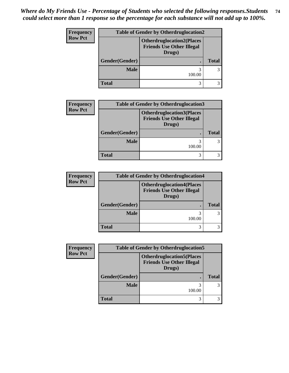| Frequency      |                | <b>Table of Gender by Otherdruglocation2</b>                                   |              |  |
|----------------|----------------|--------------------------------------------------------------------------------|--------------|--|
| <b>Row Pct</b> |                | <b>Otherdruglocation2(Places</b><br><b>Friends Use Other Illegal</b><br>Drugs) |              |  |
|                | Gender(Gender) |                                                                                | <b>Total</b> |  |
|                | <b>Male</b>    | 100.00                                                                         |              |  |
|                | <b>Total</b>   | 3                                                                              |              |  |

| <b>Frequency</b> | <b>Table of Gender by Otherdruglocation3</b> |                                                                                |              |  |
|------------------|----------------------------------------------|--------------------------------------------------------------------------------|--------------|--|
| <b>Row Pct</b>   |                                              | <b>Otherdruglocation3(Places</b><br><b>Friends Use Other Illegal</b><br>Drugs) |              |  |
|                  | Gender(Gender)                               |                                                                                | <b>Total</b> |  |
|                  | <b>Male</b>                                  | 100.00                                                                         |              |  |
|                  | <b>Total</b>                                 | 3                                                                              |              |  |

| <b>Frequency</b> |                | <b>Table of Gender by Otherdruglocation4</b>                                   |              |
|------------------|----------------|--------------------------------------------------------------------------------|--------------|
| <b>Row Pct</b>   |                | <b>Otherdruglocation4(Places</b><br><b>Friends Use Other Illegal</b><br>Drugs) |              |
|                  | Gender(Gender) |                                                                                | <b>Total</b> |
|                  | <b>Male</b>    | 3<br>100.00                                                                    | 3            |
|                  | <b>Total</b>   | 3                                                                              |              |

| <b>Frequency</b> |                | <b>Table of Gender by Otherdruglocation5</b>                                   |              |  |
|------------------|----------------|--------------------------------------------------------------------------------|--------------|--|
| <b>Row Pct</b>   |                | <b>Otherdruglocation5(Places</b><br><b>Friends Use Other Illegal</b><br>Drugs) |              |  |
|                  | Gender(Gender) |                                                                                | <b>Total</b> |  |
|                  | <b>Male</b>    | 100.00                                                                         |              |  |
|                  | <b>Total</b>   | 3                                                                              |              |  |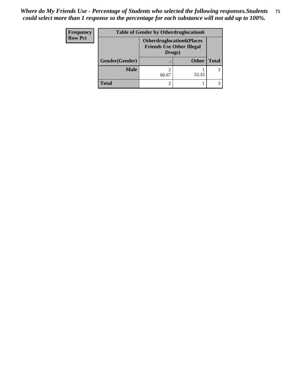| Frequency      | <b>Table of Gender by Otherdruglocation6</b> |                                            |                                  |              |  |
|----------------|----------------------------------------------|--------------------------------------------|----------------------------------|--------------|--|
| <b>Row Pct</b> |                                              | <b>Friends Use Other Illegal</b><br>Drugs) | <b>Otherdruglocation6(Places</b> |              |  |
|                | Gender(Gender)                               |                                            | <b>Other</b>                     | <b>Total</b> |  |
|                | <b>Male</b>                                  | 66.67                                      | 33.33                            |              |  |
|                | <b>Total</b>                                 |                                            |                                  |              |  |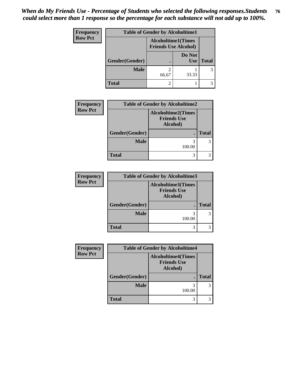| Frequency      | <b>Table of Gender by Alcoholtime1</b> |                                                          |                      |              |
|----------------|----------------------------------------|----------------------------------------------------------|----------------------|--------------|
| <b>Row Pct</b> |                                        | <b>Alcoholtime1(Times</b><br><b>Friends Use Alcohol)</b> |                      |              |
|                | Gender(Gender)                         |                                                          | Do Not<br><b>Use</b> | <b>Total</b> |
|                | <b>Male</b>                            | 66.67                                                    | 33.33                | 3            |
|                | <b>Total</b>                           | 2                                                        |                      |              |

| <b>Frequency</b> | <b>Table of Gender by Alcoholtime2</b> |                                                             |              |  |
|------------------|----------------------------------------|-------------------------------------------------------------|--------------|--|
| <b>Row Pct</b>   |                                        | <b>Alcoholtime2(Times</b><br><b>Friends Use</b><br>Alcohol) |              |  |
|                  | Gender(Gender)                         |                                                             | <b>Total</b> |  |
|                  | <b>Male</b>                            | 3<br>100.00                                                 |              |  |
|                  | <b>Total</b>                           | 3                                                           |              |  |

| <b>Frequency</b> | <b>Table of Gender by Alcoholtime3</b> |                                                             |              |
|------------------|----------------------------------------|-------------------------------------------------------------|--------------|
| <b>Row Pct</b>   |                                        | <b>Alcoholtime3(Times</b><br><b>Friends Use</b><br>Alcohol) |              |
|                  | Gender(Gender)                         |                                                             | <b>Total</b> |
|                  | <b>Male</b>                            | 3<br>100.00                                                 |              |
|                  | <b>Total</b>                           | 3                                                           |              |

| <b>Frequency</b> | <b>Table of Gender by Alcoholtime4</b> |                                                             |              |
|------------------|----------------------------------------|-------------------------------------------------------------|--------------|
| <b>Row Pct</b>   |                                        | <b>Alcoholtime4(Times</b><br><b>Friends Use</b><br>Alcohol) |              |
|                  | Gender(Gender)                         |                                                             | <b>Total</b> |
|                  | <b>Male</b>                            | 3<br>100.00                                                 |              |
|                  | <b>Total</b>                           | 3                                                           |              |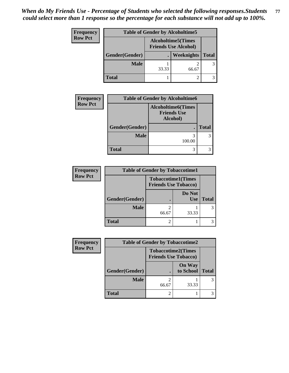| Frequency      | <b>Table of Gender by Alcoholtime5</b> |                                                          |            |              |
|----------------|----------------------------------------|----------------------------------------------------------|------------|--------------|
| <b>Row Pct</b> |                                        | <b>Alcoholtime5(Times</b><br><b>Friends Use Alcohol)</b> |            |              |
|                | Gender(Gender)                         |                                                          | Weeknights | <b>Total</b> |
|                | <b>Male</b>                            | 33.33                                                    | 66.67      | 3            |
|                | <b>Total</b>                           |                                                          | 2          |              |

| <b>Frequency</b> | <b>Table of Gender by Alcoholtime6</b> |                                                              |              |
|------------------|----------------------------------------|--------------------------------------------------------------|--------------|
| <b>Row Pct</b>   |                                        | <b>Alcoholtime6</b> (Times<br><b>Friends Use</b><br>Alcohol) |              |
|                  | Gender(Gender)                         |                                                              | <b>Total</b> |
|                  | <b>Male</b>                            | 3<br>100.00                                                  |              |
|                  | <b>Total</b>                           | 3                                                            |              |

| <b>Frequency</b> | <b>Table of Gender by Tobaccotime1</b> |                             |                           |              |
|------------------|----------------------------------------|-----------------------------|---------------------------|--------------|
| <b>Row Pct</b>   |                                        | <b>Friends Use Tobacco)</b> | <b>Tobaccotime1(Times</b> |              |
|                  | Gender(Gender)                         |                             | Do Not<br><b>Use</b>      | <b>Total</b> |
|                  | <b>Male</b>                            | 66.67                       | 33.33                     |              |
|                  | <b>Total</b>                           |                             |                           |              |

| <b>Frequency</b> | <b>Table of Gender by Tobaccotime2</b> |                                                          |                            |              |
|------------------|----------------------------------------|----------------------------------------------------------|----------------------------|--------------|
| <b>Row Pct</b>   |                                        | <b>Tobaccotime2(Times</b><br><b>Friends Use Tobacco)</b> |                            |              |
|                  | Gender(Gender)                         |                                                          | <b>On Way</b><br>to School | <b>Total</b> |
|                  | <b>Male</b>                            | 2<br>66.67                                               | 33.33                      |              |
|                  | <b>Total</b>                           | $\overline{2}$                                           |                            |              |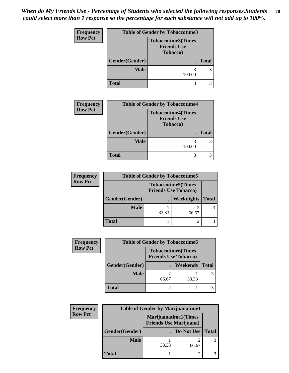*When do My Friends Use - Percentage of Students who selected the following responses.Students could select more than 1 response so the percentage for each substance will not add up to 100%.* **78**

| Frequency      | <b>Table of Gender by Tobaccotime3</b> |                                                                     |              |
|----------------|----------------------------------------|---------------------------------------------------------------------|--------------|
| <b>Row Pct</b> |                                        | <b>Tobaccotime3(Times</b><br><b>Friends Use</b><br><b>Tobacco</b> ) |              |
|                | Gender(Gender)                         |                                                                     | <b>Total</b> |
|                | <b>Male</b>                            | 100.00                                                              | 3            |
|                | Total                                  | 3                                                                   | 3            |

| <b>Frequency</b> | <b>Table of Gender by Tobaccotime4</b> |                                                                     |              |  |
|------------------|----------------------------------------|---------------------------------------------------------------------|--------------|--|
| <b>Row Pct</b>   |                                        | <b>Tobaccotime4(Times</b><br><b>Friends Use</b><br><b>Tobacco</b> ) |              |  |
|                  | Gender(Gender)                         |                                                                     | <b>Total</b> |  |
|                  | <b>Male</b>                            | 3<br>100.00                                                         |              |  |
|                  | <b>Total</b>                           | 3                                                                   |              |  |

| <b>Frequency</b> | <b>Table of Gender by Tobaccotime5</b> |       |                                                          |              |
|------------------|----------------------------------------|-------|----------------------------------------------------------|--------------|
| <b>Row Pct</b>   |                                        |       | <b>Tobaccotime5(Times</b><br><b>Friends Use Tobacco)</b> |              |
|                  | Gender(Gender)                         |       | <b>Weeknights</b>                                        | <b>Total</b> |
|                  | <b>Male</b>                            | 33.33 | 66.67                                                    |              |
|                  | <b>Total</b>                           |       |                                                          |              |

| <b>Frequency</b> | <b>Table of Gender by Tobaccotime6</b> |                                                   |          |              |
|------------------|----------------------------------------|---------------------------------------------------|----------|--------------|
| <b>Row Pct</b>   |                                        | Tobaccotime6(Times<br><b>Friends Use Tobacco)</b> |          |              |
|                  | Gender(Gender)                         |                                                   | Weekends | <b>Total</b> |
|                  | <b>Male</b>                            | 66.67                                             | 33.33    |              |
|                  | <b>Total</b>                           | $\mathfrak{D}$                                    |          |              |

| Frequency      | <b>Table of Gender by Marijuanatime1</b> |                                                               |            |              |
|----------------|------------------------------------------|---------------------------------------------------------------|------------|--------------|
| <b>Row Pct</b> |                                          | <b>Marijuanatime1(Times</b><br><b>Friends Use Marijuana</b> ) |            |              |
|                | Gender(Gender)                           |                                                               | Do Not Use | <b>Total</b> |
|                | <b>Male</b>                              | 33.33                                                         | 66.67      |              |
|                | <b>Total</b>                             |                                                               |            |              |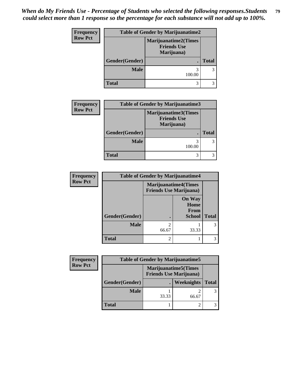| Frequency      | <b>Table of Gender by Marijuanatime2</b> |                                                                 |              |
|----------------|------------------------------------------|-----------------------------------------------------------------|--------------|
| <b>Row Pct</b> |                                          | <b>Marijuanatime2(Times</b><br><b>Friends Use</b><br>Marijuana) |              |
|                | Gender(Gender)                           |                                                                 | <b>Total</b> |
|                | <b>Male</b>                              | 100.00                                                          |              |
|                | <b>Total</b>                             | 3                                                               |              |

| <b>Frequency</b> | <b>Table of Gender by Marijuanatime3</b> |                                                          |               |
|------------------|------------------------------------------|----------------------------------------------------------|---------------|
| <b>Row Pct</b>   |                                          | Marijuanatime3(Times<br><b>Friends Use</b><br>Marijuana) |               |
|                  | Gender(Gender)                           |                                                          | <b>Total</b>  |
|                  | <b>Male</b>                              | 100.00                                                   | $\mathcal{R}$ |
|                  | <b>Total</b>                             |                                                          |               |

| <b>Frequency</b> | <b>Table of Gender by Marijuanatime4</b> |                                |                                                |              |
|------------------|------------------------------------------|--------------------------------|------------------------------------------------|--------------|
| <b>Row Pct</b>   |                                          | <b>Friends Use Marijuana</b> ) | <b>Marijuanatime4(Times</b>                    |              |
|                  | Gender(Gender)                           |                                | <b>On Way</b><br>Home<br>From<br><b>School</b> | <b>Total</b> |
|                  | <b>Male</b>                              | $\mathfrak{D}$<br>66.67        | 33.33                                          |              |
|                  | <b>Total</b>                             | $\overline{2}$                 |                                                |              |

| <b>Frequency</b> | <b>Table of Gender by Marijuanatime5</b> |       |                                                                |              |
|------------------|------------------------------------------|-------|----------------------------------------------------------------|--------------|
| <b>Row Pct</b>   |                                          |       | <b>Marijuanatime5</b> (Times<br><b>Friends Use Marijuana</b> ) |              |
|                  | Gender(Gender)                           |       | Weeknights                                                     | <b>Total</b> |
|                  | <b>Male</b>                              | 33.33 | 66.67                                                          |              |
|                  | <b>Total</b>                             |       |                                                                |              |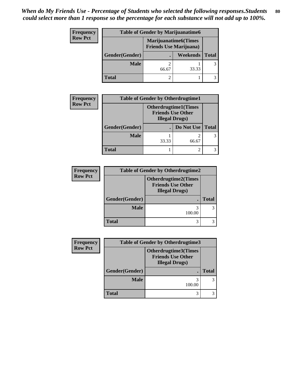| Frequency      |                | <b>Table of Gender by Marijuanatime6</b>                      |          |              |  |
|----------------|----------------|---------------------------------------------------------------|----------|--------------|--|
| <b>Row Pct</b> |                | <b>Marijuanatime6(Times</b><br><b>Friends Use Marijuana</b> ) |          |              |  |
|                | Gender(Gender) |                                                               | Weekends | <b>Total</b> |  |
|                | <b>Male</b>    | 66.67                                                         | 33.33    | 3            |  |
|                | <b>Total</b>   |                                                               |          |              |  |

| <b>Frequency</b> | <b>Table of Gender by Otherdrugtime1</b> |                                                                                   |            |              |  |
|------------------|------------------------------------------|-----------------------------------------------------------------------------------|------------|--------------|--|
| <b>Row Pct</b>   |                                          | <b>Otherdrugtime1(Times</b><br><b>Friends Use Other</b><br><b>Illegal Drugs</b> ) |            |              |  |
|                  | Gender(Gender)                           |                                                                                   | Do Not Use | <b>Total</b> |  |
|                  | <b>Male</b>                              | 33.33                                                                             | 66.67      |              |  |
|                  | <b>Total</b>                             |                                                                                   |            |              |  |

| <b>Frequency</b> | <b>Table of Gender by Otherdrugtime2</b> |                                                                                  |              |  |
|------------------|------------------------------------------|----------------------------------------------------------------------------------|--------------|--|
| <b>Row Pct</b>   |                                          | <b>Otherdrugtime2(Times</b><br><b>Friends Use Other</b><br><b>Illegal Drugs)</b> |              |  |
|                  | Gender(Gender)                           |                                                                                  | <b>Total</b> |  |
|                  | <b>Male</b>                              | 100.00                                                                           |              |  |
|                  | <b>Total</b>                             |                                                                                  |              |  |

| Frequency      | <b>Table of Gender by Otherdrugtime3</b> |                                                                                   |              |
|----------------|------------------------------------------|-----------------------------------------------------------------------------------|--------------|
| <b>Row Pct</b> |                                          | <b>Otherdrugtime3(Times</b><br><b>Friends Use Other</b><br><b>Illegal Drugs</b> ) |              |
|                | Gender(Gender)                           |                                                                                   | <b>Total</b> |
|                | <b>Male</b>                              | 100.00                                                                            |              |
|                | <b>Total</b>                             |                                                                                   |              |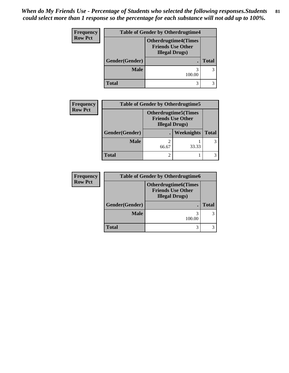| Frequency      |                | <b>Table of Gender by Otherdrugtime4</b>                                          |              |  |
|----------------|----------------|-----------------------------------------------------------------------------------|--------------|--|
| <b>Row Pct</b> |                | <b>Otherdrugtime4(Times</b><br><b>Friends Use Other</b><br><b>Illegal Drugs</b> ) |              |  |
|                | Gender(Gender) |                                                                                   | <b>Total</b> |  |
|                | <b>Male</b>    | 100.00                                                                            | 3            |  |
|                | <b>Total</b>   | 3                                                                                 |              |  |

| <b>Frequency</b> | <b>Table of Gender by Otherdrugtime5</b> |                                                                                    |            |              |  |
|------------------|------------------------------------------|------------------------------------------------------------------------------------|------------|--------------|--|
| <b>Row Pct</b>   |                                          | <b>Otherdrugtime5</b> (Times<br><b>Friends Use Other</b><br><b>Illegal Drugs</b> ) |            |              |  |
|                  | Gender(Gender)                           |                                                                                    | Weeknights | <b>Total</b> |  |
|                  | <b>Male</b>                              | 66.67                                                                              | 33.33      |              |  |
|                  | <b>Total</b>                             | 2                                                                                  |            |              |  |

| <b>Frequency</b> | <b>Table of Gender by Otherdrugtime6</b> |                                                                                   |              |
|------------------|------------------------------------------|-----------------------------------------------------------------------------------|--------------|
| <b>Row Pct</b>   |                                          | <b>Otherdrugtime6(Times</b><br><b>Friends Use Other</b><br><b>Illegal Drugs</b> ) |              |
|                  | Gender(Gender)                           |                                                                                   | <b>Total</b> |
|                  | <b>Male</b>                              | 100.00                                                                            |              |
|                  | <b>Total</b>                             |                                                                                   |              |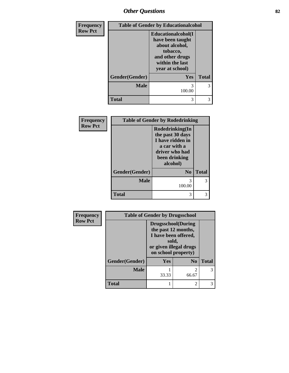# *Other Questions* **82**

| Frequency      |                | <b>Table of Gender by Educationalcohol</b>                                                                                    |              |  |
|----------------|----------------|-------------------------------------------------------------------------------------------------------------------------------|--------------|--|
| <b>Row Pct</b> |                | Educationalcohol(I<br>have been taught<br>about alcohol,<br>tobacco,<br>and other drugs<br>within the last<br>year at school) |              |  |
|                | Gender(Gender) | Yes                                                                                                                           | <b>Total</b> |  |
|                | <b>Male</b>    | 100.00                                                                                                                        | 3            |  |
|                | <b>Total</b>   | 3                                                                                                                             | 3            |  |

| Frequency      | <b>Table of Gender by Rodedrinking</b> |                                                                                                                        |              |  |
|----------------|----------------------------------------|------------------------------------------------------------------------------------------------------------------------|--------------|--|
| <b>Row Pct</b> |                                        | Rodedrinking(In<br>the past 30 days<br>I have ridden in<br>a car with a<br>driver who had<br>been drinking<br>alcohol) |              |  |
|                | Gender(Gender)                         | N <sub>0</sub>                                                                                                         | <b>Total</b> |  |
|                | <b>Male</b>                            | 3<br>100.00                                                                                                            | 3            |  |
|                | <b>Total</b>                           | 3                                                                                                                      | 3            |  |

| <b>Frequency</b> |                | <b>Table of Gender by Drugsschool</b>                                                                                               |                         |              |
|------------------|----------------|-------------------------------------------------------------------------------------------------------------------------------------|-------------------------|--------------|
| <b>Row Pct</b>   |                | <b>Drugsschool</b> (During<br>the past 12 months,<br>I have been offered,<br>sold,<br>or given illegal drugs<br>on school property) |                         |              |
|                  | Gender(Gender) | <b>Yes</b>                                                                                                                          | N <sub>0</sub>          | <b>Total</b> |
|                  | <b>Male</b>    | 33.33                                                                                                                               | $\mathfrak{D}$<br>66.67 |              |
|                  | Total          |                                                                                                                                     | $\mathfrak{D}$          |              |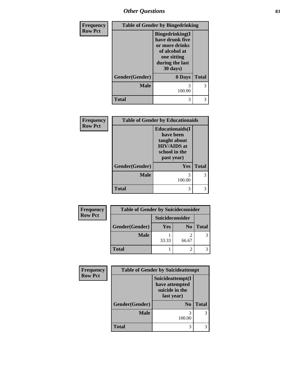*Other Questions* **83**

| Frequency      | <b>Table of Gender by Bingedrinking</b> |                                                                                                                             |              |
|----------------|-----------------------------------------|-----------------------------------------------------------------------------------------------------------------------------|--------------|
| <b>Row Pct</b> |                                         | <b>Bingedrinking</b> (I<br>have drunk five<br>or more drinks<br>of alcohol at<br>one sitting<br>during the last<br>30 days) |              |
|                | Gender(Gender)                          | 0 Days                                                                                                                      | <b>Total</b> |
|                | <b>Male</b>                             | 3<br>100.00                                                                                                                 | 3            |
|                | <b>Total</b>                            | 3                                                                                                                           | 3            |

| Frequency      | <b>Table of Gender by Educationaids</b> |                                                                                                           |              |
|----------------|-----------------------------------------|-----------------------------------------------------------------------------------------------------------|--------------|
| <b>Row Pct</b> |                                         | <b>Educationaids</b> (I<br>have been<br>taught about<br><b>HIV/AIDS</b> at<br>school in the<br>past year) |              |
|                | Gender(Gender)                          | <b>Yes</b>                                                                                                | <b>Total</b> |
|                | <b>Male</b>                             | 3<br>100.00                                                                                               | 3            |
|                | <b>Total</b>                            | 3                                                                                                         | 3            |

| Frequency      | <b>Table of Gender by Suicideconsider</b> |                 |                |              |
|----------------|-------------------------------------------|-----------------|----------------|--------------|
| <b>Row Pct</b> |                                           | Suicideconsider |                |              |
|                | Gender(Gender)                            | Yes             | N <sub>0</sub> | <b>Total</b> |
|                | <b>Male</b>                               | 33.33           | 66.67          |              |
|                | <b>Total</b>                              |                 |                |              |

| Frequency      | <b>Table of Gender by Suicideattempt</b> |                                                                    |              |
|----------------|------------------------------------------|--------------------------------------------------------------------|--------------|
| <b>Row Pct</b> |                                          | Suicideattempt(I<br>have attempted<br>suicide in the<br>last year) |              |
|                | Gender(Gender)                           | N <sub>0</sub>                                                     | <b>Total</b> |
|                | Male                                     | 100.00                                                             | 3            |
|                | Total                                    |                                                                    | 3            |